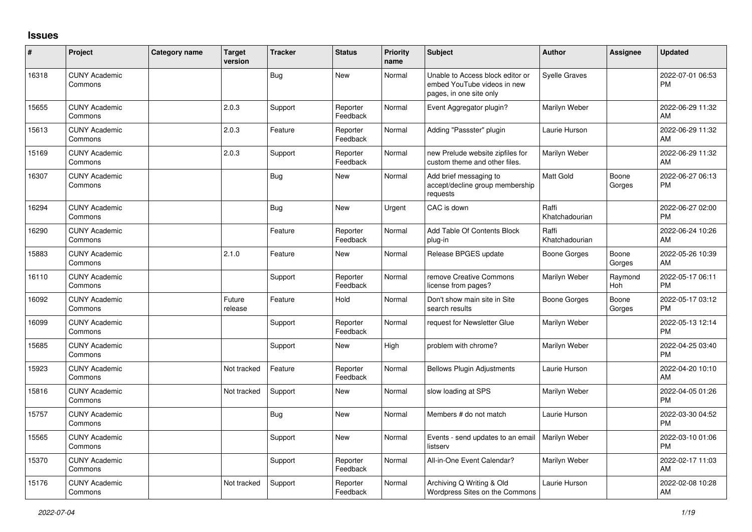## **Issues**

| #     | Project                         | Category name | <b>Target</b><br>version | <b>Tracker</b> | <b>Status</b>        | <b>Priority</b><br>name | <b>Subject</b>                                                                             | <b>Author</b>           | <b>Assignee</b> | <b>Updated</b>                |
|-------|---------------------------------|---------------|--------------------------|----------------|----------------------|-------------------------|--------------------------------------------------------------------------------------------|-------------------------|-----------------|-------------------------------|
| 16318 | <b>CUNY Academic</b><br>Commons |               |                          | Bug            | <b>New</b>           | Normal                  | Unable to Access block editor or<br>embed YouTube videos in new<br>pages, in one site only | <b>Syelle Graves</b>    |                 | 2022-07-01 06:53<br><b>PM</b> |
| 15655 | <b>CUNY Academic</b><br>Commons |               | 2.0.3                    | Support        | Reporter<br>Feedback | Normal                  | Event Aggregator plugin?                                                                   | Marilyn Weber           |                 | 2022-06-29 11:32<br>AM        |
| 15613 | <b>CUNY Academic</b><br>Commons |               | 2.0.3                    | Feature        | Reporter<br>Feedback | Normal                  | Adding "Passster" plugin                                                                   | Laurie Hurson           |                 | 2022-06-29 11:32<br>AM        |
| 15169 | <b>CUNY Academic</b><br>Commons |               | 2.0.3                    | Support        | Reporter<br>Feedback | Normal                  | new Prelude website zipfiles for<br>custom theme and other files.                          | Marilyn Weber           |                 | 2022-06-29 11:32<br>AM        |
| 16307 | <b>CUNY Academic</b><br>Commons |               |                          | Bug            | <b>New</b>           | Normal                  | Add brief messaging to<br>accept/decline group membership<br>requests                      | <b>Matt Gold</b>        | Boone<br>Gorges | 2022-06-27 06:13<br><b>PM</b> |
| 16294 | <b>CUNY Academic</b><br>Commons |               |                          | Bug            | <b>New</b>           | Urgent                  | CAC is down                                                                                | Raffi<br>Khatchadourian |                 | 2022-06-27 02:00<br><b>PM</b> |
| 16290 | <b>CUNY Academic</b><br>Commons |               |                          | Feature        | Reporter<br>Feedback | Normal                  | Add Table Of Contents Block<br>plug-in                                                     | Raffi<br>Khatchadourian |                 | 2022-06-24 10:26<br>AM        |
| 15883 | <b>CUNY Academic</b><br>Commons |               | 2.1.0                    | Feature        | <b>New</b>           | Normal                  | Release BPGES update                                                                       | Boone Gorges            | Boone<br>Gorges | 2022-05-26 10:39<br>AM        |
| 16110 | <b>CUNY Academic</b><br>Commons |               |                          | Support        | Reporter<br>Feedback | Normal                  | remove Creative Commons<br>license from pages?                                             | Marilyn Weber           | Raymond<br>Hoh  | 2022-05-17 06:11<br><b>PM</b> |
| 16092 | <b>CUNY Academic</b><br>Commons |               | Future<br>release        | Feature        | Hold                 | Normal                  | Don't show main site in Site<br>search results                                             | Boone Gorges            | Boone<br>Gorges | 2022-05-17 03:12<br><b>PM</b> |
| 16099 | <b>CUNY Academic</b><br>Commons |               |                          | Support        | Reporter<br>Feedback | Normal                  | request for Newsletter Glue                                                                | Marilyn Weber           |                 | 2022-05-13 12:14<br><b>PM</b> |
| 15685 | <b>CUNY Academic</b><br>Commons |               |                          | Support        | <b>New</b>           | High                    | problem with chrome?                                                                       | Marilyn Weber           |                 | 2022-04-25 03:40<br><b>PM</b> |
| 15923 | <b>CUNY Academic</b><br>Commons |               | Not tracked              | Feature        | Reporter<br>Feedback | Normal                  | <b>Bellows Plugin Adjustments</b>                                                          | Laurie Hurson           |                 | 2022-04-20 10:10<br>AM        |
| 15816 | <b>CUNY Academic</b><br>Commons |               | Not tracked              | Support        | <b>New</b>           | Normal                  | slow loading at SPS                                                                        | Marilyn Weber           |                 | 2022-04-05 01:26<br>PM        |
| 15757 | <b>CUNY Academic</b><br>Commons |               |                          | <b>Bug</b>     | <b>New</b>           | Normal                  | Members # do not match                                                                     | Laurie Hurson           |                 | 2022-03-30 04:52<br><b>PM</b> |
| 15565 | <b>CUNY Academic</b><br>Commons |               |                          | Support        | <b>New</b>           | Normal                  | Events - send updates to an email<br>listserv                                              | Marilyn Weber           |                 | 2022-03-10 01:06<br><b>PM</b> |
| 15370 | <b>CUNY Academic</b><br>Commons |               |                          | Support        | Reporter<br>Feedback | Normal                  | All-in-One Event Calendar?                                                                 | Marilyn Weber           |                 | 2022-02-17 11:03<br>AM        |
| 15176 | <b>CUNY Academic</b><br>Commons |               | Not tracked              | Support        | Reporter<br>Feedback | Normal                  | Archiving Q Writing & Old<br>Wordpress Sites on the Commons                                | Laurie Hurson           |                 | 2022-02-08 10:28<br>AM        |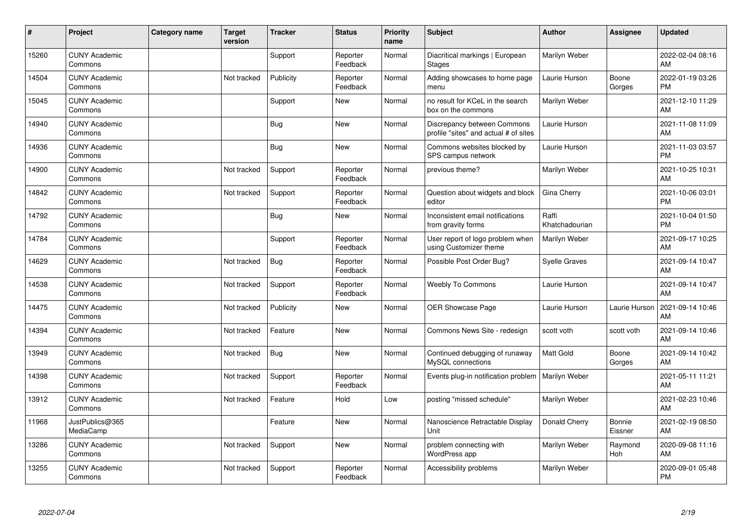| #     | Project                         | <b>Category name</b> | <b>Target</b><br>version | <b>Tracker</b> | <b>Status</b>        | <b>Priority</b><br>name | <b>Subject</b>                                                       | <b>Author</b>           | <b>Assignee</b>          | <b>Updated</b>                |
|-------|---------------------------------|----------------------|--------------------------|----------------|----------------------|-------------------------|----------------------------------------------------------------------|-------------------------|--------------------------|-------------------------------|
| 15260 | <b>CUNY Academic</b><br>Commons |                      |                          | Support        | Reporter<br>Feedback | Normal                  | Diacritical markings   European<br><b>Stages</b>                     | Marilyn Weber           |                          | 2022-02-04 08:16<br>AM        |
| 14504 | <b>CUNY Academic</b><br>Commons |                      | Not tracked              | Publicity      | Reporter<br>Feedback | Normal                  | Adding showcases to home page<br>menu                                | Laurie Hurson           | Boone<br>Gorges          | 2022-01-19 03:26<br><b>PM</b> |
| 15045 | <b>CUNY Academic</b><br>Commons |                      |                          | Support        | <b>New</b>           | Normal                  | no result for KCeL in the search<br>box on the commons               | Marilyn Weber           |                          | 2021-12-10 11:29<br>AM        |
| 14940 | <b>CUNY Academic</b><br>Commons |                      |                          | <b>Bug</b>     | <b>New</b>           | Normal                  | Discrepancy between Commons<br>profile "sites" and actual # of sites | Laurie Hurson           |                          | 2021-11-08 11:09<br>AM        |
| 14936 | <b>CUNY Academic</b><br>Commons |                      |                          | <b>Bug</b>     | <b>New</b>           | Normal                  | Commons websites blocked by<br>SPS campus network                    | Laurie Hurson           |                          | 2021-11-03 03:57<br><b>PM</b> |
| 14900 | <b>CUNY Academic</b><br>Commons |                      | Not tracked              | Support        | Reporter<br>Feedback | Normal                  | previous theme?                                                      | Marilyn Weber           |                          | 2021-10-25 10:31<br>AM        |
| 14842 | <b>CUNY Academic</b><br>Commons |                      | Not tracked              | Support        | Reporter<br>Feedback | Normal                  | Question about widgets and block<br>editor                           | Gina Cherry             |                          | 2021-10-06 03:01<br><b>PM</b> |
| 14792 | <b>CUNY Academic</b><br>Commons |                      |                          | Bug            | <b>New</b>           | Normal                  | Inconsistent email notifications<br>from gravity forms               | Raffi<br>Khatchadourian |                          | 2021-10-04 01:50<br><b>PM</b> |
| 14784 | <b>CUNY Academic</b><br>Commons |                      |                          | Support        | Reporter<br>Feedback | Normal                  | User report of logo problem when<br>using Customizer theme           | Marilyn Weber           |                          | 2021-09-17 10:25<br>AM        |
| 14629 | <b>CUNY Academic</b><br>Commons |                      | Not tracked              | <b>Bug</b>     | Reporter<br>Feedback | Normal                  | Possible Post Order Bug?                                             | <b>Syelle Graves</b>    |                          | 2021-09-14 10:47<br>AM        |
| 14538 | <b>CUNY Academic</b><br>Commons |                      | Not tracked              | Support        | Reporter<br>Feedback | Normal                  | <b>Weebly To Commons</b>                                             | Laurie Hurson           |                          | 2021-09-14 10:47<br>AM        |
| 14475 | <b>CUNY Academic</b><br>Commons |                      | Not tracked              | Publicity      | <b>New</b>           | Normal                  | OER Showcase Page                                                    | Laurie Hurson           | Laurie Hurson            | 2021-09-14 10:46<br>AM        |
| 14394 | <b>CUNY Academic</b><br>Commons |                      | Not tracked              | Feature        | <b>New</b>           | Normal                  | Commons News Site - redesign                                         | scott voth              | scott voth               | 2021-09-14 10:46<br>AM        |
| 13949 | <b>CUNY Academic</b><br>Commons |                      | Not tracked              | Bug            | <b>New</b>           | Normal                  | Continued debugging of runaway<br>MySQL connections                  | <b>Matt Gold</b>        | Boone<br>Gorges          | 2021-09-14 10:42<br>AM        |
| 14398 | <b>CUNY Academic</b><br>Commons |                      | Not tracked              | Support        | Reporter<br>Feedback | Normal                  | Events plug-in notification problem                                  | Marilyn Weber           |                          | 2021-05-11 11:21<br>AM        |
| 13912 | <b>CUNY Academic</b><br>Commons |                      | Not tracked              | Feature        | Hold                 | Low                     | posting "missed schedule"                                            | Marilyn Weber           |                          | 2021-02-23 10:46<br>AM        |
| 11968 | JustPublics@365<br>MediaCamp    |                      |                          | Feature        | <b>New</b>           | Normal                  | Nanoscience Retractable Display<br>Unit                              | Donald Cherry           | <b>Bonnie</b><br>Eissner | 2021-02-19 08:50<br>AM        |
| 13286 | <b>CUNY Academic</b><br>Commons |                      | Not tracked              | Support        | <b>New</b>           | Normal                  | problem connecting with<br><b>WordPress app</b>                      | Marilyn Weber           | Raymond<br>Hoh           | 2020-09-08 11:16<br>AM        |
| 13255 | <b>CUNY Academic</b><br>Commons |                      | Not tracked              | Support        | Reporter<br>Feedback | Normal                  | Accessibility problems                                               | Marilyn Weber           |                          | 2020-09-01 05:48<br><b>PM</b> |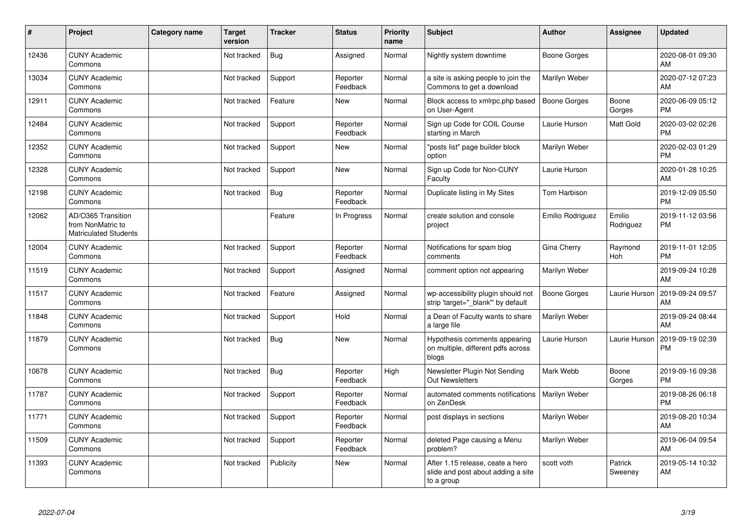| #     | Project                                                                 | Category name | <b>Target</b><br>version | <b>Tracker</b> | <b>Status</b>        | <b>Priority</b><br>name | <b>Subject</b>                                                                       | <b>Author</b>       | <b>Assignee</b>     | <b>Updated</b>                |
|-------|-------------------------------------------------------------------------|---------------|--------------------------|----------------|----------------------|-------------------------|--------------------------------------------------------------------------------------|---------------------|---------------------|-------------------------------|
| 12436 | <b>CUNY Academic</b><br>Commons                                         |               | Not tracked              | Bug            | Assigned             | Normal                  | Nightly system downtime                                                              | <b>Boone Gorges</b> |                     | 2020-08-01 09:30<br>AM        |
| 13034 | <b>CUNY Academic</b><br>Commons                                         |               | Not tracked              | Support        | Reporter<br>Feedback | Normal                  | a site is asking people to join the<br>Commons to get a download                     | Marilyn Weber       |                     | 2020-07-12 07:23<br>AM        |
| 12911 | <b>CUNY Academic</b><br>Commons                                         |               | Not tracked              | Feature        | <b>New</b>           | Normal                  | Block access to xmlrpc.php based<br>on User-Agent                                    | Boone Gorges        | Boone<br>Gorges     | 2020-06-09 05:12<br><b>PM</b> |
| 12484 | <b>CUNY Academic</b><br>Commons                                         |               | Not tracked              | Support        | Reporter<br>Feedback | Normal                  | Sign up Code for COIL Course<br>starting in March                                    | Laurie Hurson       | Matt Gold           | 2020-03-02 02:26<br><b>PM</b> |
| 12352 | <b>CUNY Academic</b><br>Commons                                         |               | Not tracked              | Support        | New                  | Normal                  | 'posts list" page builder block<br>option                                            | Marilyn Weber       |                     | 2020-02-03 01:29<br><b>PM</b> |
| 12328 | <b>CUNY Academic</b><br>Commons                                         |               | Not tracked              | Support        | <b>New</b>           | Normal                  | Sign up Code for Non-CUNY<br>Faculty                                                 | Laurie Hurson       |                     | 2020-01-28 10:25<br>AM        |
| 12198 | <b>CUNY Academic</b><br>Commons                                         |               | Not tracked              | <b>Bug</b>     | Reporter<br>Feedback | Normal                  | Duplicate listing in My Sites                                                        | <b>Tom Harbison</b> |                     | 2019-12-09 05:50<br><b>PM</b> |
| 12062 | AD/O365 Transition<br>from NonMatric to<br><b>Matriculated Students</b> |               |                          | Feature        | In Progress          | Normal                  | create solution and console<br>project                                               | Emilio Rodriguez    | Emilio<br>Rodriguez | 2019-11-12 03:56<br><b>PM</b> |
| 12004 | <b>CUNY Academic</b><br>Commons                                         |               | Not tracked              | Support        | Reporter<br>Feedback | Normal                  | Notifications for spam blog<br>comments                                              | Gina Cherry         | Raymond<br>Hoh      | 2019-11-01 12:05<br><b>PM</b> |
| 11519 | <b>CUNY Academic</b><br>Commons                                         |               | Not tracked              | Support        | Assigned             | Normal                  | comment option not appearing                                                         | Marilyn Weber       |                     | 2019-09-24 10:28<br>AM        |
| 11517 | <b>CUNY Academic</b><br>Commons                                         |               | Not tracked              | Feature        | Assigned             | Normal                  | wp-accessibility plugin should not<br>strip 'target=" blank" by default              | <b>Boone Gorges</b> | Laurie Hurson       | 2019-09-24 09:57<br>AM        |
| 11848 | <b>CUNY Academic</b><br>Commons                                         |               | Not tracked              | Support        | Hold                 | Normal                  | a Dean of Faculty wants to share<br>a large file                                     | Marilyn Weber       |                     | 2019-09-24 08:44<br>AM        |
| 11879 | <b>CUNY Academic</b><br>Commons                                         |               | Not tracked              | Bug            | <b>New</b>           | Normal                  | Hypothesis comments appearing<br>on multiple, different pdfs across<br>blogs         | Laurie Hurson       | Laurie Hurson       | 2019-09-19 02:39<br><b>PM</b> |
| 10678 | <b>CUNY Academic</b><br>Commons                                         |               | Not tracked              | Bug            | Reporter<br>Feedback | High                    | Newsletter Plugin Not Sending<br><b>Out Newsletters</b>                              | Mark Webb           | Boone<br>Gorges     | 2019-09-16 09:38<br><b>PM</b> |
| 11787 | <b>CUNY Academic</b><br>Commons                                         |               | Not tracked              | Support        | Reporter<br>Feedback | Normal                  | automated comments notifications<br>on ZenDesk                                       | Marilyn Weber       |                     | 2019-08-26 06:18<br><b>PM</b> |
| 11771 | <b>CUNY Academic</b><br>Commons                                         |               | Not tracked              | Support        | Reporter<br>Feedback | Normal                  | post displays in sections                                                            | Marilyn Weber       |                     | 2019-08-20 10:34<br>AM        |
| 11509 | <b>CUNY Academic</b><br>Commons                                         |               | Not tracked              | Support        | Reporter<br>Feedback | Normal                  | deleted Page causing a Menu<br>problem?                                              | Marilyn Weber       |                     | 2019-06-04 09:54<br>AM        |
| 11393 | <b>CUNY Academic</b><br>Commons                                         |               | Not tracked              | Publicity      | <b>New</b>           | Normal                  | After 1.15 release, ceate a hero<br>slide and post about adding a site<br>to a group | scott voth          | Patrick<br>Sweeney  | 2019-05-14 10:32<br>AM        |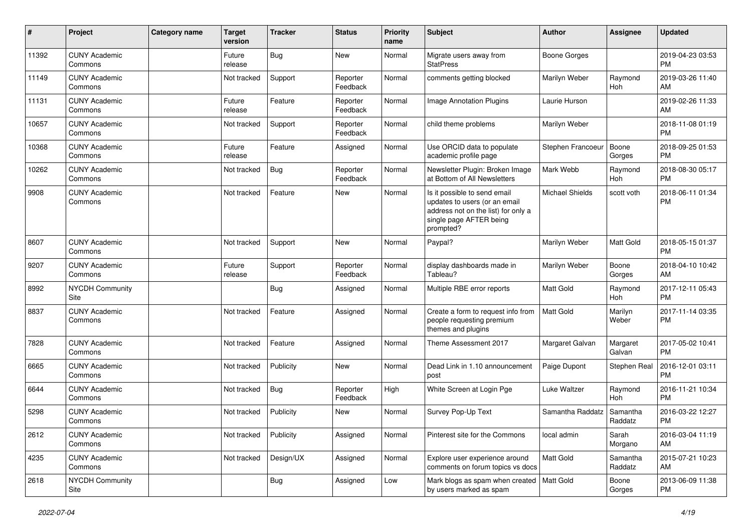| #     | Project                         | Category name | <b>Target</b><br>version | <b>Tracker</b> | <b>Status</b>        | Priority<br>name | <b>Subject</b>                                                                                                                               | <b>Author</b>       | <b>Assignee</b>       | <b>Updated</b>                |
|-------|---------------------------------|---------------|--------------------------|----------------|----------------------|------------------|----------------------------------------------------------------------------------------------------------------------------------------------|---------------------|-----------------------|-------------------------------|
| 11392 | <b>CUNY Academic</b><br>Commons |               | Future<br>release        | <b>Bug</b>     | New                  | Normal           | Migrate users away from<br><b>StatPress</b>                                                                                                  | <b>Boone Gorges</b> |                       | 2019-04-23 03:53<br><b>PM</b> |
| 11149 | <b>CUNY Academic</b><br>Commons |               | Not tracked              | Support        | Reporter<br>Feedback | Normal           | comments getting blocked                                                                                                                     | Marilyn Weber       | Raymond<br>Hoh        | 2019-03-26 11:40<br>AM        |
| 11131 | <b>CUNY Academic</b><br>Commons |               | Future<br>release        | Feature        | Reporter<br>Feedback | Normal           | Image Annotation Plugins                                                                                                                     | Laurie Hurson       |                       | 2019-02-26 11:33<br>AM        |
| 10657 | <b>CUNY Academic</b><br>Commons |               | Not tracked              | Support        | Reporter<br>Feedback | Normal           | child theme problems                                                                                                                         | Marilyn Weber       |                       | 2018-11-08 01:19<br><b>PM</b> |
| 10368 | <b>CUNY Academic</b><br>Commons |               | Future<br>release        | Feature        | Assigned             | Normal           | Use ORCID data to populate<br>academic profile page                                                                                          | Stephen Francoeur   | Boone<br>Gorges       | 2018-09-25 01:53<br><b>PM</b> |
| 10262 | <b>CUNY Academic</b><br>Commons |               | Not tracked              | Bug            | Reporter<br>Feedback | Normal           | Newsletter Plugin: Broken Image<br>at Bottom of All Newsletters                                                                              | Mark Webb           | Raymond<br>Hoh        | 2018-08-30 05:17<br><b>PM</b> |
| 9908  | <b>CUNY Academic</b><br>Commons |               | Not tracked              | Feature        | New                  | Normal           | Is it possible to send email<br>updates to users (or an email<br>address not on the list) for only a<br>single page AFTER being<br>prompted? | Michael Shields     | scott voth            | 2018-06-11 01:34<br><b>PM</b> |
| 8607  | <b>CUNY Academic</b><br>Commons |               | Not tracked              | Support        | <b>New</b>           | Normal           | Paypal?                                                                                                                                      | Marilyn Weber       | Matt Gold             | 2018-05-15 01:37<br><b>PM</b> |
| 9207  | <b>CUNY Academic</b><br>Commons |               | Future<br>release        | Support        | Reporter<br>Feedback | Normal           | display dashboards made in<br>Tableau?                                                                                                       | Marilyn Weber       | Boone<br>Gorges       | 2018-04-10 10:42<br>AM        |
| 8992  | <b>NYCDH Community</b><br>Site  |               |                          | <b>Bug</b>     | Assigned             | Normal           | Multiple RBE error reports                                                                                                                   | <b>Matt Gold</b>    | Raymond<br>Hoh        | 2017-12-11 05:43<br><b>PM</b> |
| 8837  | <b>CUNY Academic</b><br>Commons |               | Not tracked              | Feature        | Assigned             | Normal           | Create a form to request info from<br>people requesting premium<br>themes and plugins                                                        | Matt Gold           | Marilyn<br>Weber      | 2017-11-14 03:35<br><b>PM</b> |
| 7828  | <b>CUNY Academic</b><br>Commons |               | Not tracked              | Feature        | Assigned             | Normal           | Theme Assessment 2017                                                                                                                        | Margaret Galvan     | Margaret<br>Galvan    | 2017-05-02 10:41<br><b>PM</b> |
| 6665  | <b>CUNY Academic</b><br>Commons |               | Not tracked              | Publicity      | <b>New</b>           | Normal           | Dead Link in 1.10 announcement<br>post                                                                                                       | Paige Dupont        | Stephen Real          | 2016-12-01 03:11<br><b>PM</b> |
| 6644  | <b>CUNY Academic</b><br>Commons |               | Not tracked              | Bug            | Reporter<br>Feedback | High             | White Screen at Login Pge                                                                                                                    | Luke Waltzer        | Raymond<br><b>Hoh</b> | 2016-11-21 10:34<br><b>PM</b> |
| 5298  | <b>CUNY Academic</b><br>Commons |               | Not tracked              | Publicity      | New                  | Normal           | Survey Pop-Up Text                                                                                                                           | Samantha Raddatz    | Samantha<br>Raddatz   | 2016-03-22 12:27<br><b>PM</b> |
| 2612  | <b>CUNY Academic</b><br>Commons |               | Not tracked              | Publicity      | Assigned             | Normal           | Pinterest site for the Commons                                                                                                               | local admin         | Sarah<br>Morgano      | 2016-03-04 11:19<br>AM        |
| 4235  | <b>CUNY Academic</b><br>Commons |               | Not tracked              | Design/UX      | Assigned             | Normal           | Explore user experience around<br>comments on forum topics vs docs                                                                           | Matt Gold           | Samantha<br>Raddatz   | 2015-07-21 10:23<br>AM        |
| 2618  | <b>NYCDH Community</b><br>Site  |               |                          | <b>Bug</b>     | Assigned             | Low              | Mark blogs as spam when created   Matt Gold<br>by users marked as spam                                                                       |                     | Boone<br>Gorges       | 2013-06-09 11:38<br>PM        |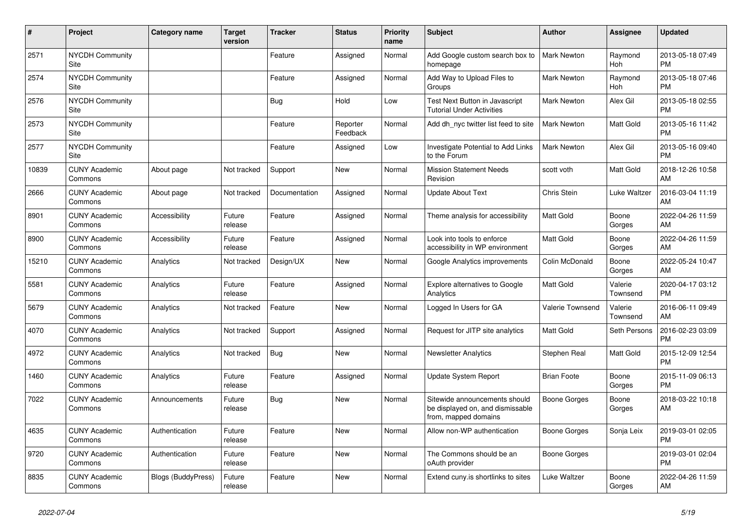| #     | Project                         | <b>Category name</b> | <b>Target</b><br>version | <b>Tracker</b> | <b>Status</b>        | <b>Priority</b><br>name | <b>Subject</b>                                                                            | <b>Author</b>      | <b>Assignee</b>     | <b>Updated</b>                |
|-------|---------------------------------|----------------------|--------------------------|----------------|----------------------|-------------------------|-------------------------------------------------------------------------------------------|--------------------|---------------------|-------------------------------|
| 2571  | <b>NYCDH Community</b><br>Site  |                      |                          | Feature        | Assigned             | Normal                  | Add Google custom search box to<br>homepage                                               | <b>Mark Newton</b> | Raymond<br>Hoh      | 2013-05-18 07:49<br><b>PM</b> |
| 2574  | <b>NYCDH Community</b><br>Site  |                      |                          | Feature        | Assigned             | Normal                  | Add Way to Upload Files to<br>Groups                                                      | Mark Newton        | Raymond<br>Hoh      | 2013-05-18 07:46<br><b>PM</b> |
| 2576  | <b>NYCDH Community</b><br>Site  |                      |                          | <b>Bug</b>     | Hold                 | Low                     | Test Next Button in Javascript<br><b>Tutorial Under Activities</b>                        | <b>Mark Newton</b> | Alex Gil            | 2013-05-18 02:55<br><b>PM</b> |
| 2573  | <b>NYCDH Community</b><br>Site  |                      |                          | Feature        | Reporter<br>Feedback | Normal                  | Add dh nyc twitter list feed to site                                                      | <b>Mark Newton</b> | Matt Gold           | 2013-05-16 11:42<br><b>PM</b> |
| 2577  | <b>NYCDH Community</b><br>Site  |                      |                          | Feature        | Assigned             | Low                     | Investigate Potential to Add Links<br>to the Forum                                        | Mark Newton        | Alex Gil            | 2013-05-16 09:40<br><b>PM</b> |
| 10839 | <b>CUNY Academic</b><br>Commons | About page           | Not tracked              | Support        | <b>New</b>           | Normal                  | <b>Mission Statement Needs</b><br>Revision                                                | scott voth         | Matt Gold           | 2018-12-26 10:58<br>AM        |
| 2666  | <b>CUNY Academic</b><br>Commons | About page           | Not tracked              | Documentation  | Assigned             | Normal                  | <b>Update About Text</b>                                                                  | Chris Stein        | Luke Waltzer        | 2016-03-04 11:19<br>AM        |
| 8901  | <b>CUNY Academic</b><br>Commons | Accessibility        | Future<br>release        | Feature        | Assigned             | Normal                  | Theme analysis for accessibility                                                          | <b>Matt Gold</b>   | Boone<br>Gorges     | 2022-04-26 11:59<br>AM        |
| 8900  | <b>CUNY Academic</b><br>Commons | Accessibility        | Future<br>release        | Feature        | Assigned             | Normal                  | Look into tools to enforce<br>accessibility in WP environment                             | Matt Gold          | Boone<br>Gorges     | 2022-04-26 11:59<br>AM.       |
| 15210 | <b>CUNY Academic</b><br>Commons | Analytics            | Not tracked              | Design/UX      | <b>New</b>           | Normal                  | Google Analytics improvements                                                             | Colin McDonald     | Boone<br>Gorges     | 2022-05-24 10:47<br>AM        |
| 5581  | <b>CUNY Academic</b><br>Commons | Analytics            | Future<br>release        | Feature        | Assigned             | Normal                  | Explore alternatives to Google<br>Analytics                                               | Matt Gold          | Valerie<br>Townsend | 2020-04-17 03:12<br><b>PM</b> |
| 5679  | <b>CUNY Academic</b><br>Commons | Analytics            | Not tracked              | Feature        | <b>New</b>           | Normal                  | Logged In Users for GA                                                                    | Valerie Townsend   | Valerie<br>Townsend | 2016-06-11 09:49<br>AM.       |
| 4070  | <b>CUNY Academic</b><br>Commons | Analytics            | Not tracked              | Support        | Assigned             | Normal                  | Request for JITP site analytics                                                           | <b>Matt Gold</b>   | Seth Persons        | 2016-02-23 03:09<br><b>PM</b> |
| 4972  | <b>CUNY Academic</b><br>Commons | Analytics            | Not tracked              | Bug            | <b>New</b>           | Normal                  | <b>Newsletter Analytics</b>                                                               | Stephen Real       | Matt Gold           | 2015-12-09 12:54<br><b>PM</b> |
| 1460  | <b>CUNY Academic</b><br>Commons | Analytics            | Future<br>release        | Feature        | Assigned             | Normal                  | Update System Report                                                                      | <b>Brian Foote</b> | Boone<br>Gorges     | 2015-11-09 06:13<br><b>PM</b> |
| 7022  | <b>CUNY Academic</b><br>Commons | Announcements        | Future<br>release        | <b>Bug</b>     | <b>New</b>           | Normal                  | Sitewide announcements should<br>be displayed on, and dismissable<br>from, mapped domains | Boone Gorges       | Boone<br>Gorges     | 2018-03-22 10:18<br>AM        |
| 4635  | <b>CUNY Academic</b><br>Commons | Authentication       | Future<br>release        | Feature        | <b>New</b>           | Normal                  | Allow non-WP authentication                                                               | Boone Gorges       | Sonja Leix          | 2019-03-01 02:05<br><b>PM</b> |
| 9720  | <b>CUNY Academic</b><br>Commons | Authentication       | Future<br>release        | Feature        | <b>New</b>           | Normal                  | The Commons should be an<br>oAuth provider                                                | Boone Gorges       |                     | 2019-03-01 02:04<br><b>PM</b> |
| 8835  | <b>CUNY Academic</b><br>Commons | Blogs (BuddyPress)   | Future<br>release        | Feature        | <b>New</b>           | Normal                  | Extend cuny is shortlinks to sites                                                        | Luke Waltzer       | Boone<br>Gorges     | 2022-04-26 11:59<br>AM        |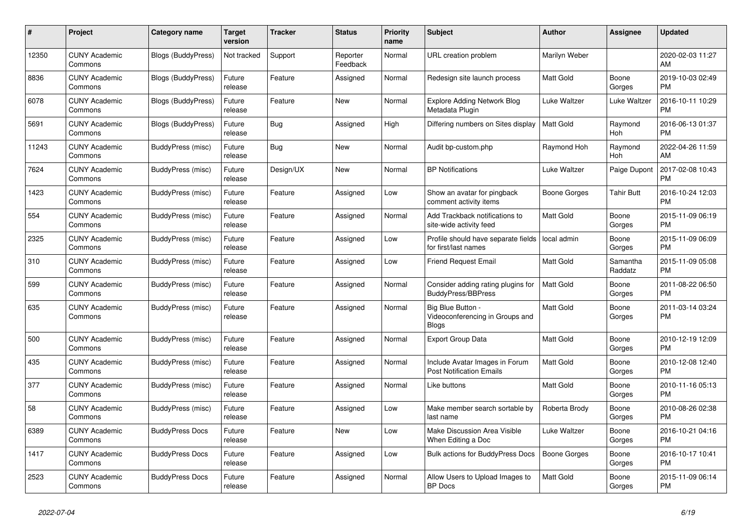| #     | Project                         | <b>Category name</b>      | <b>Target</b><br>version | <b>Tracker</b> | <b>Status</b>        | <b>Priority</b><br>name | <b>Subject</b>                                                       | <b>Author</b>       | <b>Assignee</b>     | <b>Updated</b>                |
|-------|---------------------------------|---------------------------|--------------------------|----------------|----------------------|-------------------------|----------------------------------------------------------------------|---------------------|---------------------|-------------------------------|
| 12350 | <b>CUNY Academic</b><br>Commons | <b>Blogs (BuddyPress)</b> | Not tracked              | Support        | Reporter<br>Feedback | Normal                  | URL creation problem                                                 | Marilyn Weber       |                     | 2020-02-03 11:27<br>AM        |
| 8836  | <b>CUNY Academic</b><br>Commons | Blogs (BuddyPress)        | Future<br>release        | Feature        | Assigned             | Normal                  | Redesign site launch process                                         | Matt Gold           | Boone<br>Gorges     | 2019-10-03 02:49<br><b>PM</b> |
| 6078  | <b>CUNY Academic</b><br>Commons | <b>Blogs (BuddyPress)</b> | Future<br>release        | Feature        | <b>New</b>           | Normal                  | Explore Adding Network Blog<br>Metadata Plugin                       | Luke Waltzer        | Luke Waltzer        | 2016-10-11 10:29<br><b>PM</b> |
| 5691  | <b>CUNY Academic</b><br>Commons | <b>Blogs (BuddyPress)</b> | Future<br>release        | <b>Bug</b>     | Assigned             | High                    | Differing numbers on Sites display                                   | <b>Matt Gold</b>    | Raymond<br>Hoh      | 2016-06-13 01:37<br><b>PM</b> |
| 11243 | <b>CUNY Academic</b><br>Commons | BuddyPress (misc)         | Future<br>release        | Bug            | New                  | Normal                  | Audit bp-custom.php                                                  | Raymond Hoh         | Raymond<br>Hoh      | 2022-04-26 11:59<br>AM        |
| 7624  | <b>CUNY Academic</b><br>Commons | BuddyPress (misc)         | Future<br>release        | Design/UX      | <b>New</b>           | Normal                  | <b>BP</b> Notifications                                              | Luke Waltzer        | Paige Dupont        | 2017-02-08 10:43<br><b>PM</b> |
| 1423  | <b>CUNY Academic</b><br>Commons | <b>BuddyPress (misc)</b>  | Future<br>release        | Feature        | Assigned             | Low                     | Show an avatar for pingback<br>comment activity items                | Boone Gorges        | <b>Tahir Butt</b>   | 2016-10-24 12:03<br><b>PM</b> |
| 554   | <b>CUNY Academic</b><br>Commons | BuddyPress (misc)         | Future<br>release        | Feature        | Assigned             | Normal                  | Add Trackback notifications to<br>site-wide activity feed            | <b>Matt Gold</b>    | Boone<br>Gorges     | 2015-11-09 06:19<br><b>PM</b> |
| 2325  | <b>CUNY Academic</b><br>Commons | BuddyPress (misc)         | Future<br>release        | Feature        | Assigned             | Low                     | Profile should have separate fields<br>for first/last names          | local admin         | Boone<br>Gorges     | 2015-11-09 06:09<br><b>PM</b> |
| 310   | <b>CUNY Academic</b><br>Commons | BuddyPress (misc)         | Future<br>release        | Feature        | Assigned             | Low                     | <b>Friend Request Email</b>                                          | <b>Matt Gold</b>    | Samantha<br>Raddatz | 2015-11-09 05:08<br><b>PM</b> |
| 599   | <b>CUNY Academic</b><br>Commons | <b>BuddyPress (misc)</b>  | Future<br>release        | Feature        | Assigned             | Normal                  | Consider adding rating plugins for<br><b>BuddyPress/BBPress</b>      | <b>Matt Gold</b>    | Boone<br>Gorges     | 2011-08-22 06:50<br><b>PM</b> |
| 635   | <b>CUNY Academic</b><br>Commons | BuddyPress (misc)         | Future<br>release        | Feature        | Assigned             | Normal                  | Big Blue Button -<br>Videoconferencing in Groups and<br><b>Blogs</b> | <b>Matt Gold</b>    | Boone<br>Gorges     | 2011-03-14 03:24<br><b>PM</b> |
| 500   | <b>CUNY Academic</b><br>Commons | <b>BuddyPress (misc)</b>  | Future<br>release        | Feature        | Assigned             | Normal                  | <b>Export Group Data</b>                                             | Matt Gold           | Boone<br>Gorges     | 2010-12-19 12:09<br><b>PM</b> |
| 435   | <b>CUNY Academic</b><br>Commons | BuddyPress (misc)         | Future<br>release        | Feature        | Assigned             | Normal                  | Include Avatar Images in Forum<br><b>Post Notification Emails</b>    | <b>Matt Gold</b>    | Boone<br>Gorges     | 2010-12-08 12:40<br><b>PM</b> |
| 377   | <b>CUNY Academic</b><br>Commons | BuddyPress (misc)         | Future<br>release        | Feature        | Assigned             | Normal                  | Like buttons                                                         | <b>Matt Gold</b>    | Boone<br>Gorges     | 2010-11-16 05:13<br><b>PM</b> |
| 58    | <b>CUNY Academic</b><br>Commons | BuddyPress (misc)         | Future<br>release        | Feature        | Assigned             | Low                     | Make member search sortable by<br>last name                          | Roberta Brody       | Boone<br>Gorges     | 2010-08-26 02:38<br><b>PM</b> |
| 6389  | <b>CUNY Academic</b><br>Commons | <b>BuddyPress Docs</b>    | Future<br>release        | Feature        | <b>New</b>           | Low                     | Make Discussion Area Visible<br>When Editing a Doc                   | Luke Waltzer        | Boone<br>Gorges     | 2016-10-21 04:16<br><b>PM</b> |
| 1417  | <b>CUNY Academic</b><br>Commons | <b>BuddyPress Docs</b>    | Future<br>release        | Feature        | Assigned             | Low                     | Bulk actions for BuddyPress Docs                                     | <b>Boone Gorges</b> | Boone<br>Gorges     | 2016-10-17 10:41<br><b>PM</b> |
| 2523  | <b>CUNY Academic</b><br>Commons | <b>BuddyPress Docs</b>    | Future<br>release        | Feature        | Assigned             | Normal                  | Allow Users to Upload Images to<br>BP Docs                           | <b>Matt Gold</b>    | Boone<br>Gorges     | 2015-11-09 06:14<br>PM        |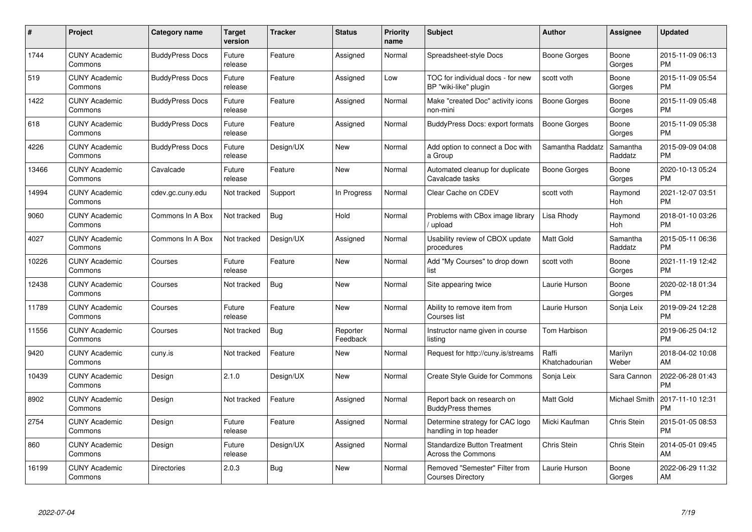| $\#$  | Project                         | <b>Category name</b>   | <b>Target</b><br>version | <b>Tracker</b> | <b>Status</b>        | Priority<br>name | <b>Subject</b>                                                   | <b>Author</b>           | <b>Assignee</b>     | <b>Updated</b>                |
|-------|---------------------------------|------------------------|--------------------------|----------------|----------------------|------------------|------------------------------------------------------------------|-------------------------|---------------------|-------------------------------|
| 1744  | <b>CUNY Academic</b><br>Commons | <b>BuddyPress Docs</b> | Future<br>release        | Feature        | Assigned             | Normal           | Spreadsheet-style Docs                                           | Boone Gorges            | Boone<br>Gorges     | 2015-11-09 06:13<br><b>PM</b> |
| 519   | <b>CUNY Academic</b><br>Commons | <b>BuddyPress Docs</b> | Future<br>release        | Feature        | Assigned             | Low              | TOC for individual docs - for new<br>BP "wiki-like" plugin       | scott voth              | Boone<br>Gorges     | 2015-11-09 05:54<br><b>PM</b> |
| 1422  | <b>CUNY Academic</b><br>Commons | <b>BuddyPress Docs</b> | Future<br>release        | Feature        | Assigned             | Normal           | Make "created Doc" activity icons<br>non-mini                    | Boone Gorges            | Boone<br>Gorges     | 2015-11-09 05:48<br><b>PM</b> |
| 618   | <b>CUNY Academic</b><br>Commons | <b>BuddyPress Docs</b> | Future<br>release        | Feature        | Assigned             | Normal           | <b>BuddyPress Docs: export formats</b>                           | Boone Gorges            | Boone<br>Gorges     | 2015-11-09 05:38<br><b>PM</b> |
| 4226  | <b>CUNY Academic</b><br>Commons | <b>BuddyPress Docs</b> | Future<br>release        | Design/UX      | <b>New</b>           | Normal           | Add option to connect a Doc with<br>a Group                      | Samantha Raddatz        | Samantha<br>Raddatz | 2015-09-09 04:08<br><b>PM</b> |
| 13466 | <b>CUNY Academic</b><br>Commons | Cavalcade              | Future<br>release        | Feature        | <b>New</b>           | Normal           | Automated cleanup for duplicate<br>Cavalcade tasks               | Boone Gorges            | Boone<br>Gorges     | 2020-10-13 05:24<br><b>PM</b> |
| 14994 | <b>CUNY Academic</b><br>Commons | cdev.gc.cuny.edu       | Not tracked              | Support        | In Progress          | Normal           | Clear Cache on CDEV                                              | scott voth              | Raymond<br>Hoh      | 2021-12-07 03:51<br><b>PM</b> |
| 9060  | <b>CUNY Academic</b><br>Commons | Commons In A Box       | Not tracked              | Bug            | Hold                 | Normal           | Problems with CBox image library<br>/ upload                     | Lisa Rhody              | Raymond<br>Hoh      | 2018-01-10 03:26<br><b>PM</b> |
| 4027  | <b>CUNY Academic</b><br>Commons | Commons In A Box       | Not tracked              | Design/UX      | Assigned             | Normal           | Usability review of CBOX update<br>procedures                    | Matt Gold               | Samantha<br>Raddatz | 2015-05-11 06:36<br><b>PM</b> |
| 10226 | <b>CUNY Academic</b><br>Commons | Courses                | Future<br>release        | Feature        | <b>New</b>           | Normal           | Add "My Courses" to drop down<br>list                            | scott voth              | Boone<br>Gorges     | 2021-11-19 12:42<br><b>PM</b> |
| 12438 | <b>CUNY Academic</b><br>Commons | Courses                | Not tracked              | <b>Bug</b>     | <b>New</b>           | Normal           | Site appearing twice                                             | Laurie Hurson           | Boone<br>Gorges     | 2020-02-18 01:34<br><b>PM</b> |
| 11789 | <b>CUNY Academic</b><br>Commons | Courses                | Future<br>release        | Feature        | <b>New</b>           | Normal           | Ability to remove item from<br>Courses list                      | Laurie Hurson           | Sonja Leix          | 2019-09-24 12:28<br><b>PM</b> |
| 11556 | <b>CUNY Academic</b><br>Commons | Courses                | Not tracked              | Bug            | Reporter<br>Feedback | Normal           | Instructor name given in course<br>listina                       | Tom Harbison            |                     | 2019-06-25 04:12<br><b>PM</b> |
| 9420  | <b>CUNY Academic</b><br>Commons | cuny.is                | Not tracked              | Feature        | New                  | Normal           | Request for http://cuny.is/streams                               | Raffi<br>Khatchadourian | Marilyn<br>Weber    | 2018-04-02 10:08<br>AM        |
| 10439 | <b>CUNY Academic</b><br>Commons | Design                 | 2.1.0                    | Design/UX      | <b>New</b>           | Normal           | <b>Create Style Guide for Commons</b>                            | Sonja Leix              | Sara Cannon         | 2022-06-28 01:43<br><b>PM</b> |
| 8902  | <b>CUNY Academic</b><br>Commons | Design                 | Not tracked              | Feature        | Assigned             | Normal           | Report back on research on<br><b>BuddyPress themes</b>           | Matt Gold               | Michael Smith       | 2017-11-10 12:31<br><b>PM</b> |
| 2754  | <b>CUNY Academic</b><br>Commons | Design                 | Future<br>release        | Feature        | Assigned             | Normal           | Determine strategy for CAC logo<br>handling in top header        | Micki Kaufman           | Chris Stein         | 2015-01-05 08:53<br><b>PM</b> |
| 860   | <b>CUNY Academic</b><br>Commons | Design                 | Future<br>release        | Design/UX      | Assigned             | Normal           | <b>Standardize Button Treatment</b><br><b>Across the Commons</b> | Chris Stein             | Chris Stein         | 2014-05-01 09:45<br>AM        |
| 16199 | <b>CUNY Academic</b><br>Commons | <b>Directories</b>     | 2.0.3                    | Bug            | New                  | Normal           | Removed "Semester" Filter from<br><b>Courses Directory</b>       | Laurie Hurson           | Boone<br>Gorges     | 2022-06-29 11:32<br>AM        |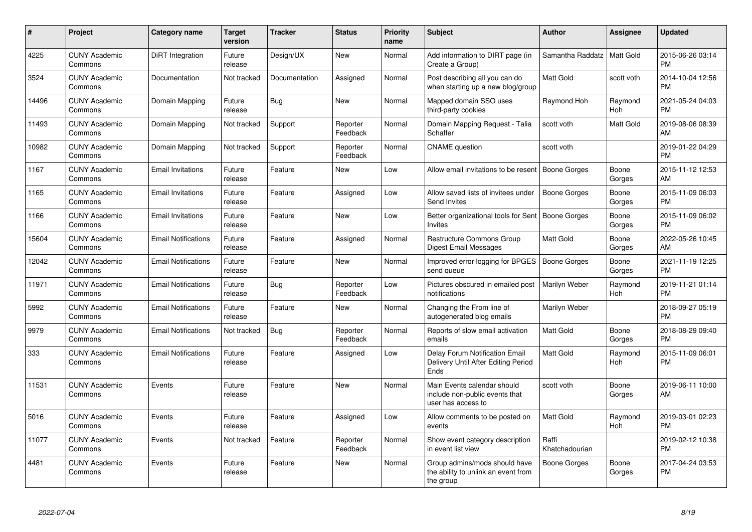| #     | Project                         | Category name              | <b>Target</b><br>version | <b>Tracker</b> | <b>Status</b>        | <b>Priority</b><br>name | <b>Subject</b>                                                                       | <b>Author</b>           | Assignee        | <b>Updated</b>                |
|-------|---------------------------------|----------------------------|--------------------------|----------------|----------------------|-------------------------|--------------------------------------------------------------------------------------|-------------------------|-----------------|-------------------------------|
| 4225  | <b>CUNY Academic</b><br>Commons | DiRT Integration           | Future<br>release        | Design/UX      | <b>New</b>           | Normal                  | Add information to DIRT page (in<br>Create a Group)                                  | Samantha Raddatz        | Matt Gold       | 2015-06-26 03:14<br><b>PM</b> |
| 3524  | <b>CUNY Academic</b><br>Commons | Documentation              | Not tracked              | Documentation  | Assigned             | Normal                  | Post describing all you can do<br>when starting up a new blog/group                  | Matt Gold               | scott voth      | 2014-10-04 12:56<br><b>PM</b> |
| 14496 | <b>CUNY Academic</b><br>Commons | Domain Mapping             | Future<br>release        | Bug            | <b>New</b>           | Normal                  | Mapped domain SSO uses<br>third-party cookies                                        | Raymond Hoh             | Raymond<br>Hoh  | 2021-05-24 04:03<br><b>PM</b> |
| 11493 | <b>CUNY Academic</b><br>Commons | Domain Mapping             | Not tracked              | Support        | Reporter<br>Feedback | Normal                  | Domain Mapping Request - Talia<br>Schaffer                                           | scott voth              | Matt Gold       | 2019-08-06 08:39<br>AM        |
| 10982 | <b>CUNY Academic</b><br>Commons | Domain Mapping             | Not tracked              | Support        | Reporter<br>Feedback | Normal                  | <b>CNAME</b> question                                                                | scott voth              |                 | 2019-01-22 04:29<br><b>PM</b> |
| 1167  | <b>CUNY Academic</b><br>Commons | <b>Email Invitations</b>   | Future<br>release        | Feature        | <b>New</b>           | Low                     | Allow email invitations to be resent                                                 | <b>Boone Gorges</b>     | Boone<br>Gorges | 2015-11-12 12:53<br>AM        |
| 1165  | <b>CUNY Academic</b><br>Commons | <b>Email Invitations</b>   | Future<br>release        | Feature        | Assigned             | Low                     | Allow saved lists of invitees under<br>Send Invites                                  | <b>Boone Gorges</b>     | Boone<br>Gorges | 2015-11-09 06:03<br><b>PM</b> |
| 1166  | <b>CUNY Academic</b><br>Commons | <b>Email Invitations</b>   | Future<br>release        | Feature        | <b>New</b>           | Low                     | Better organizational tools for Sent   Boone Gorges<br><b>Invites</b>                |                         | Boone<br>Gorges | 2015-11-09 06:02<br><b>PM</b> |
| 15604 | <b>CUNY Academic</b><br>Commons | <b>Email Notifications</b> | Future<br>release        | Feature        | Assigned             | Normal                  | Restructure Commons Group<br>Digest Email Messages                                   | Matt Gold               | Boone<br>Gorges | 2022-05-26 10:45<br>AM        |
| 12042 | <b>CUNY Academic</b><br>Commons | <b>Email Notifications</b> | Future<br>release        | Feature        | <b>New</b>           | Normal                  | Improved error logging for BPGES<br>send queue                                       | <b>Boone Gorges</b>     | Boone<br>Gorges | 2021-11-19 12:25<br><b>PM</b> |
| 11971 | <b>CUNY Academic</b><br>Commons | <b>Email Notifications</b> | Future<br>release        | Bug            | Reporter<br>Feedback | Low                     | Pictures obscured in emailed post<br>notifications                                   | Marilyn Weber           | Raymond<br>Hoh  | 2019-11-21 01:14<br><b>PM</b> |
| 5992  | <b>CUNY Academic</b><br>Commons | <b>Email Notifications</b> | Future<br>release        | Feature        | New                  | Normal                  | Changing the From line of<br>autogenerated blog emails                               | Marilyn Weber           |                 | 2018-09-27 05:19<br><b>PM</b> |
| 9979  | <b>CUNY Academic</b><br>Commons | <b>Email Notifications</b> | Not tracked              | <b>Bug</b>     | Reporter<br>Feedback | Normal                  | Reports of slow email activation<br>emails                                           | Matt Gold               | Boone<br>Gorges | 2018-08-29 09:40<br><b>PM</b> |
| 333   | <b>CUNY Academic</b><br>Commons | <b>Email Notifications</b> | Future<br>release        | Feature        | Assigned             | Low                     | <b>Delay Forum Notification Email</b><br>Delivery Until After Editing Period<br>Ends | Matt Gold               | Raymond<br>Hoh  | 2015-11-09 06:01<br><b>PM</b> |
| 11531 | <b>CUNY Academic</b><br>Commons | Events                     | Future<br>release        | Feature        | New                  | Normal                  | Main Events calendar should<br>include non-public events that<br>user has access to  | scott voth              | Boone<br>Gorges | 2019-06-11 10:00<br>AM        |
| 5016  | <b>CUNY Academic</b><br>Commons | Events                     | Future<br>release        | Feature        | Assigned             | Low                     | Allow comments to be posted on<br>events                                             | <b>Matt Gold</b>        | Raymond<br>Hoh  | 2019-03-01 02:23<br><b>PM</b> |
| 11077 | <b>CUNY Academic</b><br>Commons | Events                     | Not tracked              | Feature        | Reporter<br>Feedback | Normal                  | Show event category description<br>in event list view                                | Raffi<br>Khatchadourian |                 | 2019-02-12 10:38<br><b>PM</b> |
| 4481  | <b>CUNY Academic</b><br>Commons | Events                     | Future<br>release        | Feature        | <b>New</b>           | Normal                  | Group admins/mods should have<br>the ability to unlink an event from<br>the group    | <b>Boone Gorges</b>     | Boone<br>Gorges | 2017-04-24 03:53<br><b>PM</b> |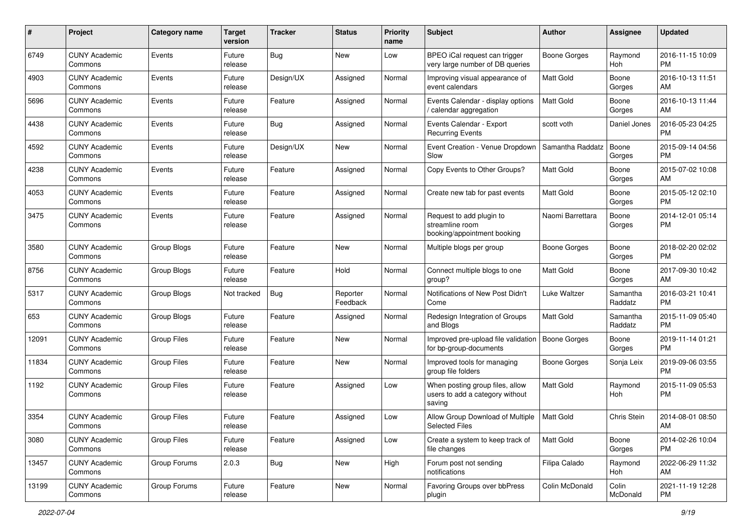| #     | Project                         | <b>Category name</b> | <b>Target</b><br>version | <b>Tracker</b> | <b>Status</b>        | <b>Priority</b><br>name | <b>Subject</b>                                                               | Author              | Assignee            | <b>Updated</b>                |
|-------|---------------------------------|----------------------|--------------------------|----------------|----------------------|-------------------------|------------------------------------------------------------------------------|---------------------|---------------------|-------------------------------|
| 6749  | <b>CUNY Academic</b><br>Commons | Events               | Future<br>release        | Bug            | <b>New</b>           | Low                     | BPEO iCal request can trigger<br>very large number of DB queries             | <b>Boone Gorges</b> | Raymond<br>Hoh      | 2016-11-15 10:09<br>PM        |
| 4903  | <b>CUNY Academic</b><br>Commons | Events               | Future<br>release        | Design/UX      | Assigned             | Normal                  | Improving visual appearance of<br>event calendars                            | <b>Matt Gold</b>    | Boone<br>Gorges     | 2016-10-13 11:51<br>AM        |
| 5696  | <b>CUNY Academic</b><br>Commons | Events               | Future<br>release        | Feature        | Assigned             | Normal                  | Events Calendar - display options<br>calendar aggregation                    | <b>Matt Gold</b>    | Boone<br>Gorges     | 2016-10-13 11:44<br>AM        |
| 4438  | <b>CUNY Academic</b><br>Commons | Events               | Future<br>release        | Bug            | Assigned             | Normal                  | Events Calendar - Export<br><b>Recurring Events</b>                          | scott voth          | Daniel Jones        | 2016-05-23 04:25<br><b>PM</b> |
| 4592  | <b>CUNY Academic</b><br>Commons | Events               | Future<br>release        | Design/UX      | New                  | Normal                  | Event Creation - Venue Dropdown<br>Slow                                      | Samantha Raddatz    | Boone<br>Gorges     | 2015-09-14 04:56<br><b>PM</b> |
| 4238  | <b>CUNY Academic</b><br>Commons | Events               | Future<br>release        | Feature        | Assigned             | Normal                  | Copy Events to Other Groups?                                                 | <b>Matt Gold</b>    | Boone<br>Gorges     | 2015-07-02 10:08<br>AM        |
| 4053  | <b>CUNY Academic</b><br>Commons | Events               | Future<br>release        | Feature        | Assigned             | Normal                  | Create new tab for past events                                               | <b>Matt Gold</b>    | Boone<br>Gorges     | 2015-05-12 02:10<br>PM        |
| 3475  | <b>CUNY Academic</b><br>Commons | Events               | Future<br>release        | Feature        | Assigned             | Normal                  | Request to add plugin to<br>streamline room<br>booking/appointment booking   | Naomi Barrettara    | Boone<br>Gorges     | 2014-12-01 05:14<br>PM.       |
| 3580  | <b>CUNY Academic</b><br>Commons | Group Blogs          | Future<br>release        | Feature        | <b>New</b>           | Normal                  | Multiple blogs per group                                                     | Boone Gorges        | Boone<br>Gorges     | 2018-02-20 02:02<br>PM        |
| 8756  | <b>CUNY Academic</b><br>Commons | Group Blogs          | Future<br>release        | Feature        | Hold                 | Normal                  | Connect multiple blogs to one<br>group?                                      | <b>Matt Gold</b>    | Boone<br>Gorges     | 2017-09-30 10:42<br>AM        |
| 5317  | <b>CUNY Academic</b><br>Commons | Group Blogs          | Not tracked              | Bug            | Reporter<br>Feedback | Normal                  | Notifications of New Post Didn't<br>Come                                     | Luke Waltzer        | Samantha<br>Raddatz | 2016-03-21 10:41<br><b>PM</b> |
| 653   | <b>CUNY Academic</b><br>Commons | Group Blogs          | Future<br>release        | Feature        | Assigned             | Normal                  | Redesign Integration of Groups<br>and Blogs                                  | Matt Gold           | Samantha<br>Raddatz | 2015-11-09 05:40<br><b>PM</b> |
| 12091 | <b>CUNY Academic</b><br>Commons | <b>Group Files</b>   | Future<br>release        | Feature        | New                  | Normal                  | Improved pre-upload file validation<br>for bp-group-documents                | Boone Gorges        | Boone<br>Gorges     | 2019-11-14 01:21<br><b>PM</b> |
| 11834 | <b>CUNY Academic</b><br>Commons | <b>Group Files</b>   | Future<br>release        | Feature        | New                  | Normal                  | Improved tools for managing<br>group file folders                            | <b>Boone Gorges</b> | Sonja Leix          | 2019-09-06 03:55<br><b>PM</b> |
| 1192  | <b>CUNY Academic</b><br>Commons | <b>Group Files</b>   | Future<br>release        | Feature        | Assigned             | Low                     | When posting group files, allow<br>users to add a category without<br>saving | <b>Matt Gold</b>    | Raymond<br>Hoh      | 2015-11-09 05:53<br><b>PM</b> |
| 3354  | <b>CUNY Academic</b><br>Commons | <b>Group Files</b>   | Future<br>release        | Feature        | Assigned             | Low                     | Allow Group Download of Multiple<br><b>Selected Files</b>                    | Matt Gold           | Chris Stein         | 2014-08-01 08:50<br>AM        |
| 3080  | <b>CUNY Academic</b><br>Commons | <b>Group Files</b>   | Future<br>release        | Feature        | Assigned             | Low                     | Create a system to keep track of<br>file changes                             | Matt Gold           | Boone<br>Gorges     | 2014-02-26 10:04<br><b>PM</b> |
| 13457 | <b>CUNY Academic</b><br>Commons | Group Forums         | 2.0.3                    | <b>Bug</b>     | New                  | High                    | Forum post not sending<br>notifications                                      | Filipa Calado       | Raymond<br>Hoh      | 2022-06-29 11:32<br>AM        |
| 13199 | <b>CUNY Academic</b><br>Commons | Group Forums         | Future<br>release        | Feature        | New                  | Normal                  | Favoring Groups over bbPress<br>plugin                                       | Colin McDonald      | Colin<br>McDonald   | 2021-11-19 12:28<br><b>PM</b> |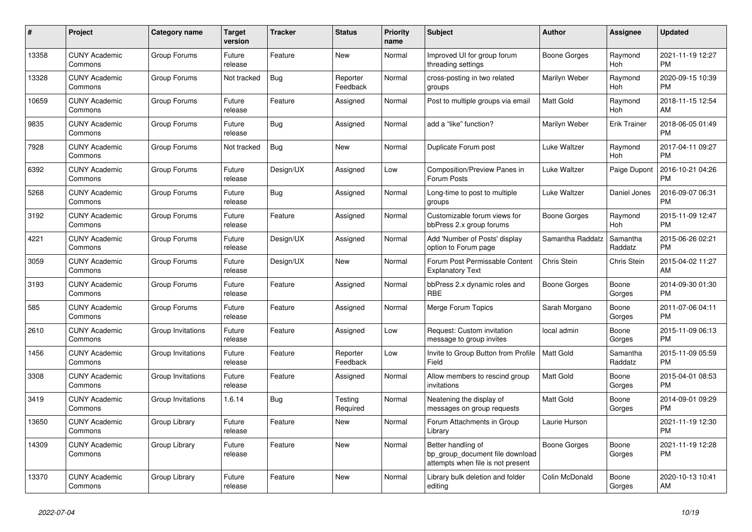| #     | Project                         | <b>Category name</b> | <b>Target</b><br>version | <b>Tracker</b> | <b>Status</b>        | <b>Priority</b><br>name | <b>Subject</b>                                                                             | <b>Author</b>    | Assignee            | <b>Updated</b>                |
|-------|---------------------------------|----------------------|--------------------------|----------------|----------------------|-------------------------|--------------------------------------------------------------------------------------------|------------------|---------------------|-------------------------------|
| 13358 | <b>CUNY Academic</b><br>Commons | Group Forums         | Future<br>release        | Feature        | New                  | Normal                  | Improved UI for group forum<br>threading settings                                          | Boone Gorges     | Raymond<br>Hoh      | 2021-11-19 12:27<br><b>PM</b> |
| 13328 | <b>CUNY Academic</b><br>Commons | Group Forums         | Not tracked              | <b>Bug</b>     | Reporter<br>Feedback | Normal                  | cross-posting in two related<br>groups                                                     | Marilyn Weber    | Raymond<br>Hoh      | 2020-09-15 10:39<br><b>PM</b> |
| 10659 | <b>CUNY Academic</b><br>Commons | Group Forums         | Future<br>release        | Feature        | Assigned             | Normal                  | Post to multiple groups via email                                                          | Matt Gold        | Raymond<br>Hoh      | 2018-11-15 12:54<br>AM        |
| 9835  | <b>CUNY Academic</b><br>Commons | Group Forums         | Future<br>release        | Bug            | Assigned             | Normal                  | add a "like" function?                                                                     | Marilyn Weber    | <b>Erik Trainer</b> | 2018-06-05 01:49<br><b>PM</b> |
| 7928  | <b>CUNY Academic</b><br>Commons | Group Forums         | Not tracked              | Bug            | New                  | Normal                  | Duplicate Forum post                                                                       | Luke Waltzer     | Raymond<br>Hoh      | 2017-04-11 09:27<br><b>PM</b> |
| 6392  | <b>CUNY Academic</b><br>Commons | Group Forums         | Future<br>release        | Design/UX      | Assigned             | Low                     | Composition/Preview Panes in<br>Forum Posts                                                | Luke Waltzer     | Paige Dupont        | 2016-10-21 04:26<br><b>PM</b> |
| 5268  | <b>CUNY Academic</b><br>Commons | Group Forums         | Future<br>release        | Bug            | Assigned             | Normal                  | Long-time to post to multiple<br>groups                                                    | Luke Waltzer     | Daniel Jones        | 2016-09-07 06:31<br><b>PM</b> |
| 3192  | <b>CUNY Academic</b><br>Commons | Group Forums         | Future<br>release        | Feature        | Assigned             | Normal                  | Customizable forum views for<br>bbPress 2.x group forums                                   | Boone Gorges     | Raymond<br>Hoh      | 2015-11-09 12:47<br><b>PM</b> |
| 4221  | <b>CUNY Academic</b><br>Commons | Group Forums         | Future<br>release        | Design/UX      | Assigned             | Normal                  | Add 'Number of Posts' display<br>option to Forum page                                      | Samantha Raddatz | Samantha<br>Raddatz | 2015-06-26 02:21<br><b>PM</b> |
| 3059  | <b>CUNY Academic</b><br>Commons | Group Forums         | Future<br>release        | Design/UX      | <b>New</b>           | Normal                  | Forum Post Permissable Content<br><b>Explanatory Text</b>                                  | Chris Stein      | Chris Stein         | 2015-04-02 11:27<br>AM        |
| 3193  | <b>CUNY Academic</b><br>Commons | Group Forums         | Future<br>release        | Feature        | Assigned             | Normal                  | bbPress 2.x dynamic roles and<br><b>RBE</b>                                                | Boone Gorges     | Boone<br>Gorges     | 2014-09-30 01:30<br><b>PM</b> |
| 585   | <b>CUNY Academic</b><br>Commons | Group Forums         | Future<br>release        | Feature        | Assigned             | Normal                  | Merge Forum Topics                                                                         | Sarah Morgano    | Boone<br>Gorges     | 2011-07-06 04:11<br><b>PM</b> |
| 2610  | <b>CUNY Academic</b><br>Commons | Group Invitations    | Future<br>release        | Feature        | Assigned             | Low                     | Request: Custom invitation<br>message to group invites                                     | local admin      | Boone<br>Gorges     | 2015-11-09 06:13<br><b>PM</b> |
| 1456  | <b>CUNY Academic</b><br>Commons | Group Invitations    | Future<br>release        | Feature        | Reporter<br>Feedback | Low                     | Invite to Group Button from Profile<br>Field                                               | <b>Matt Gold</b> | Samantha<br>Raddatz | 2015-11-09 05:59<br><b>PM</b> |
| 3308  | <b>CUNY Academic</b><br>Commons | Group Invitations    | Future<br>release        | Feature        | Assigned             | Normal                  | Allow members to rescind group<br>invitations                                              | Matt Gold        | Boone<br>Gorges     | 2015-04-01 08:53<br><b>PM</b> |
| 3419  | <b>CUNY Academic</b><br>Commons | Group Invitations    | 1.6.14                   | Bug            | Testing<br>Required  | Normal                  | Neatening the display of<br>messages on group requests                                     | <b>Matt Gold</b> | Boone<br>Gorges     | 2014-09-01 09:29<br><b>PM</b> |
| 13650 | <b>CUNY Academic</b><br>Commons | Group Library        | Future<br>release        | Feature        | New                  | Normal                  | Forum Attachments in Group<br>Library                                                      | Laurie Hurson    |                     | 2021-11-19 12:30<br><b>PM</b> |
| 14309 | <b>CUNY Academic</b><br>Commons | Group Library        | Future<br>release        | Feature        | New                  | Normal                  | Better handling of<br>bp group document file download<br>attempts when file is not present | Boone Gorges     | Boone<br>Gorges     | 2021-11-19 12:28<br><b>PM</b> |
| 13370 | <b>CUNY Academic</b><br>Commons | Group Library        | Future<br>release        | Feature        | <b>New</b>           | Normal                  | Library bulk deletion and folder<br>editing                                                | Colin McDonald   | Boone<br>Gorges     | 2020-10-13 10:41<br>AM        |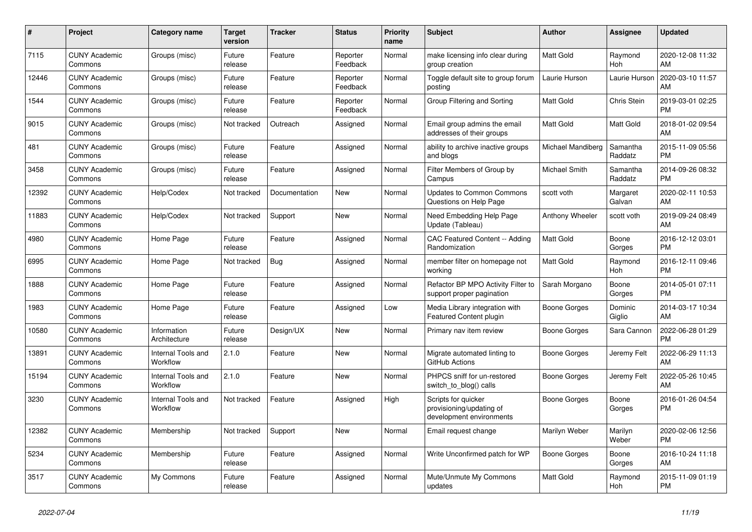| $\#$  | <b>Project</b>                  | <b>Category name</b>           | <b>Target</b><br>version | <b>Tracker</b> | <b>Status</b>        | <b>Priority</b><br>name | <b>Subject</b>                                                              | <b>Author</b>          | Assignee            | <b>Updated</b>                |
|-------|---------------------------------|--------------------------------|--------------------------|----------------|----------------------|-------------------------|-----------------------------------------------------------------------------|------------------------|---------------------|-------------------------------|
| 7115  | <b>CUNY Academic</b><br>Commons | Groups (misc)                  | Future<br>release        | Feature        | Reporter<br>Feedback | Normal                  | make licensing info clear during<br>group creation                          | <b>Matt Gold</b>       | Raymond<br>Hoh      | 2020-12-08 11:32<br>AM        |
| 12446 | <b>CUNY Academic</b><br>Commons | Groups (misc)                  | Future<br>release        | Feature        | Reporter<br>Feedback | Normal                  | Toggle default site to group forum<br>posting                               | Laurie Hurson          | Laurie Hurson       | 2020-03-10 11:57<br>AM        |
| 1544  | <b>CUNY Academic</b><br>Commons | Groups (misc)                  | Future<br>release        | Feature        | Reporter<br>Feedback | Normal                  | Group Filtering and Sorting                                                 | Matt Gold              | Chris Stein         | 2019-03-01 02:25<br><b>PM</b> |
| 9015  | <b>CUNY Academic</b><br>Commons | Groups (misc)                  | Not tracked              | Outreach       | Assigned             | Normal                  | Email group admins the email<br>addresses of their groups                   | Matt Gold              | Matt Gold           | 2018-01-02 09:54<br>AM        |
| 481   | <b>CUNY Academic</b><br>Commons | Groups (misc)                  | Future<br>release        | Feature        | Assigned             | Normal                  | ability to archive inactive groups<br>and blogs                             | Michael Mandiberg      | Samantha<br>Raddatz | 2015-11-09 05:56<br><b>PM</b> |
| 3458  | <b>CUNY Academic</b><br>Commons | Groups (misc)                  | Future<br>release        | Feature        | Assigned             | Normal                  | Filter Members of Group by<br>Campus                                        | Michael Smith          | Samantha<br>Raddatz | 2014-09-26 08:32<br><b>PM</b> |
| 12392 | <b>CUNY Academic</b><br>Commons | Help/Codex                     | Not tracked              | Documentation  | <b>New</b>           | Normal                  | <b>Updates to Common Commons</b><br>Questions on Help Page                  | scott voth             | Margaret<br>Galvan  | 2020-02-11 10:53<br>AM        |
| 11883 | <b>CUNY Academic</b><br>Commons | Help/Codex                     | Not tracked              | Support        | <b>New</b>           | Normal                  | Need Embedding Help Page<br>Update (Tableau)                                | <b>Anthony Wheeler</b> | scott voth          | 2019-09-24 08:49<br>AM        |
| 4980  | <b>CUNY Academic</b><br>Commons | Home Page                      | Future<br>release        | Feature        | Assigned             | Normal                  | CAC Featured Content -- Adding<br>Randomization                             | Matt Gold              | Boone<br>Gorges     | 2016-12-12 03:01<br><b>PM</b> |
| 6995  | <b>CUNY Academic</b><br>Commons | Home Page                      | Not tracked              | Bug            | Assigned             | Normal                  | member filter on homepage not<br>workina                                    | Matt Gold              | Raymond<br>Hoh      | 2016-12-11 09:46<br><b>PM</b> |
| 1888  | <b>CUNY Academic</b><br>Commons | Home Page                      | Future<br>release        | Feature        | Assigned             | Normal                  | Refactor BP MPO Activity Filter to<br>support proper pagination             | Sarah Morgano          | Boone<br>Gorges     | 2014-05-01 07:11<br><b>PM</b> |
| 1983  | <b>CUNY Academic</b><br>Commons | Home Page                      | Future<br>release        | Feature        | Assigned             | Low                     | Media Library integration with<br>Featured Content plugin                   | Boone Gorges           | Dominic<br>Giglio   | 2014-03-17 10:34<br>AM        |
| 10580 | <b>CUNY Academic</b><br>Commons | Information<br>Architecture    | Future<br>release        | Design/UX      | New                  | Normal                  | Primary nav item review                                                     | Boone Gorges           | Sara Cannon         | 2022-06-28 01:29<br><b>PM</b> |
| 13891 | <b>CUNY Academic</b><br>Commons | Internal Tools and<br>Workflow | 2.1.0                    | Feature        | <b>New</b>           | Normal                  | Migrate automated linting to<br>GitHub Actions                              | Boone Gorges           | Jeremy Felt         | 2022-06-29 11:13<br>AM        |
| 15194 | <b>CUNY Academic</b><br>Commons | Internal Tools and<br>Workflow | 2.1.0                    | Feature        | <b>New</b>           | Normal                  | PHPCS sniff for un-restored<br>switch_to_blog() calls                       | Boone Gorges           | Jeremy Felt         | 2022-05-26 10:45<br>AM        |
| 3230  | <b>CUNY Academic</b><br>Commons | Internal Tools and<br>Workflow | Not tracked              | Feature        | Assigned             | High                    | Scripts for quicker<br>provisioning/updating of<br>development environments | <b>Boone Gorges</b>    | Boone<br>Gorges     | 2016-01-26 04:54<br><b>PM</b> |
| 12382 | <b>CUNY Academic</b><br>Commons | Membership                     | Not tracked              | Support        | <b>New</b>           | Normal                  | Email request change                                                        | Marilyn Weber          | Marilyn<br>Weber    | 2020-02-06 12:56<br><b>PM</b> |
| 5234  | <b>CUNY Academic</b><br>Commons | Membership                     | Future<br>release        | Feature        | Assigned             | Normal                  | Write Unconfirmed patch for WP                                              | Boone Gorges           | Boone<br>Gorges     | 2016-10-24 11:18<br>AM        |
| 3517  | <b>CUNY Academic</b><br>Commons | My Commons                     | Future<br>release        | Feature        | Assigned             | Normal                  | Mute/Unmute My Commons<br>updates                                           | <b>Matt Gold</b>       | Raymond<br>Hoh      | 2015-11-09 01:19<br><b>PM</b> |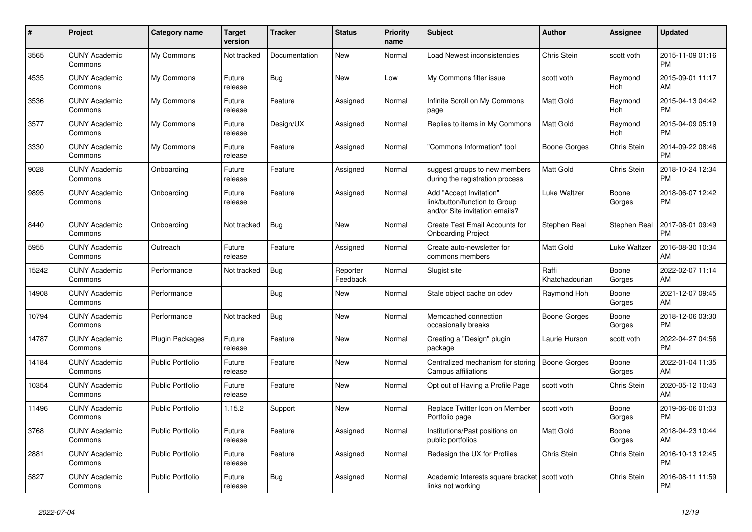| $\#$  | Project                         | <b>Category name</b>    | <b>Target</b><br>version | <b>Tracker</b> | <b>Status</b>        | Priority<br>name | <b>Subject</b>                                                                             | <b>Author</b>           | <b>Assignee</b>    | <b>Updated</b>                |
|-------|---------------------------------|-------------------------|--------------------------|----------------|----------------------|------------------|--------------------------------------------------------------------------------------------|-------------------------|--------------------|-------------------------------|
| 3565  | <b>CUNY Academic</b><br>Commons | My Commons              | Not tracked              | Documentation  | <b>New</b>           | Normal           | Load Newest inconsistencies                                                                | Chris Stein             | scott voth         | 2015-11-09 01:16<br><b>PM</b> |
| 4535  | <b>CUNY Academic</b><br>Commons | My Commons              | Future<br>release        | Bug            | <b>New</b>           | Low              | My Commons filter issue                                                                    | scott voth              | Raymond<br>Hoh     | 2015-09-01 11:17<br>AM        |
| 3536  | <b>CUNY Academic</b><br>Commons | My Commons              | Future<br>release        | Feature        | Assigned             | Normal           | Infinite Scroll on My Commons<br>page                                                      | <b>Matt Gold</b>        | Raymond<br>Hoh     | 2015-04-13 04:42<br><b>PM</b> |
| 3577  | <b>CUNY Academic</b><br>Commons | My Commons              | Future<br>release        | Design/UX      | Assigned             | Normal           | Replies to items in My Commons                                                             | <b>Matt Gold</b>        | Raymond<br>Hoh     | 2015-04-09 05:19<br><b>PM</b> |
| 3330  | <b>CUNY Academic</b><br>Commons | My Commons              | Future<br>release        | Feature        | Assigned             | Normal           | "Commons Information" tool                                                                 | Boone Gorges            | Chris Stein        | 2014-09-22 08:46<br><b>PM</b> |
| 9028  | <b>CUNY Academic</b><br>Commons | Onboarding              | Future<br>release        | Feature        | Assigned             | Normal           | suggest groups to new members<br>during the registration process                           | Matt Gold               | <b>Chris Stein</b> | 2018-10-24 12:34<br><b>PM</b> |
| 9895  | <b>CUNY Academic</b><br>Commons | Onboarding              | Future<br>release        | Feature        | Assigned             | Normal           | Add "Accept Invitation"<br>link/button/function to Group<br>and/or Site invitation emails? | Luke Waltzer            | Boone<br>Gorges    | 2018-06-07 12:42<br><b>PM</b> |
| 8440  | <b>CUNY Academic</b><br>Commons | Onboarding              | Not tracked              | Bug            | New                  | Normal           | Create Test Email Accounts for<br><b>Onboarding Project</b>                                | Stephen Real            | Stephen Real       | 2017-08-01 09:49<br><b>PM</b> |
| 5955  | <b>CUNY Academic</b><br>Commons | Outreach                | Future<br>release        | Feature        | Assigned             | Normal           | Create auto-newsletter for<br>commons members                                              | <b>Matt Gold</b>        | Luke Waltzer       | 2016-08-30 10:34<br>AM        |
| 15242 | <b>CUNY Academic</b><br>Commons | Performance             | Not tracked              | <b>Bug</b>     | Reporter<br>Feedback | Normal           | Slugist site                                                                               | Raffi<br>Khatchadourian | Boone<br>Gorges    | 2022-02-07 11:14<br>AM        |
| 14908 | <b>CUNY Academic</b><br>Commons | Performance             |                          | Bug            | New                  | Normal           | Stale object cache on cdev                                                                 | Raymond Hoh             | Boone<br>Gorges    | 2021-12-07 09:45<br>AM        |
| 10794 | <b>CUNY Academic</b><br>Commons | Performance             | Not tracked              | <b>Bug</b>     | <b>New</b>           | Normal           | Memcached connection<br>occasionally breaks                                                | Boone Gorges            | Boone<br>Gorges    | 2018-12-06 03:30<br><b>PM</b> |
| 14787 | <b>CUNY Academic</b><br>Commons | Plugin Packages         | Future<br>release        | Feature        | <b>New</b>           | Normal           | Creating a "Design" plugin<br>package                                                      | Laurie Hurson           | scott voth         | 2022-04-27 04:56<br><b>PM</b> |
| 14184 | <b>CUNY Academic</b><br>Commons | <b>Public Portfolio</b> | Future<br>release        | Feature        | <b>New</b>           | Normal           | Centralized mechanism for storing<br>Campus affiliations                                   | Boone Gorges            | Boone<br>Gorges    | 2022-01-04 11:35<br>AM        |
| 10354 | <b>CUNY Academic</b><br>Commons | <b>Public Portfolio</b> | Future<br>release        | Feature        | <b>New</b>           | Normal           | Opt out of Having a Profile Page                                                           | scott voth              | Chris Stein        | 2020-05-12 10:43<br>AM        |
| 11496 | <b>CUNY Academic</b><br>Commons | <b>Public Portfolio</b> | 1.15.2                   | Support        | New                  | Normal           | Replace Twitter Icon on Member<br>Portfolio page                                           | scott voth              | Boone<br>Gorges    | 2019-06-06 01:03<br><b>PM</b> |
| 3768  | <b>CUNY Academic</b><br>Commons | <b>Public Portfolio</b> | Future<br>release        | Feature        | Assigned             | Normal           | Institutions/Past positions on<br>public portfolios                                        | <b>Matt Gold</b>        | Boone<br>Gorges    | 2018-04-23 10:44<br>AM        |
| 2881  | <b>CUNY Academic</b><br>Commons | <b>Public Portfolio</b> | Future<br>release        | Feature        | Assigned             | Normal           | Redesign the UX for Profiles                                                               | Chris Stein             | Chris Stein        | 2016-10-13 12:45<br><b>PM</b> |
| 5827  | <b>CUNY Academic</b><br>Commons | <b>Public Portfolio</b> | Future<br>release        | <b>Bug</b>     | Assigned             | Normal           | Academic Interests square bracket   scott voth<br>links not working                        |                         | Chris Stein        | 2016-08-11 11:59<br><b>PM</b> |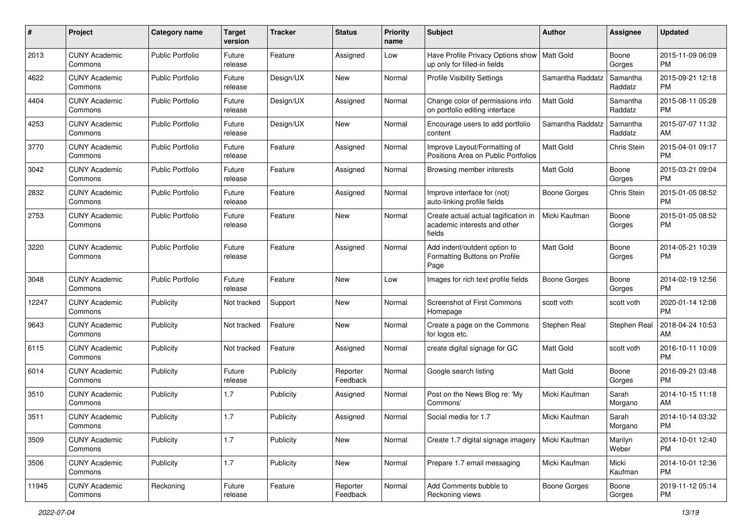| #     | Project                         | <b>Category name</b>    | <b>Target</b><br>version | <b>Tracker</b> | <b>Status</b>        | <b>Priority</b><br>name | <b>Subject</b>                                                                 | Author              | <b>Assignee</b>     | <b>Updated</b>                |
|-------|---------------------------------|-------------------------|--------------------------|----------------|----------------------|-------------------------|--------------------------------------------------------------------------------|---------------------|---------------------|-------------------------------|
| 2013  | <b>CUNY Academic</b><br>Commons | <b>Public Portfolio</b> | Future<br>release        | Feature        | Assigned             | Low                     | Have Profile Privacy Options show   Matt Gold<br>up only for filled-in fields  |                     | Boone<br>Gorges     | 2015-11-09 06:09<br>PM.       |
| 4622  | <b>CUNY Academic</b><br>Commons | <b>Public Portfolio</b> | Future<br>release        | Design/UX      | New                  | Normal                  | <b>Profile Visibility Settings</b>                                             | Samantha Raddatz    | Samantha<br>Raddatz | 2015-09-21 12:18<br><b>PM</b> |
| 4404  | <b>CUNY Academic</b><br>Commons | <b>Public Portfolio</b> | Future<br>release        | Design/UX      | Assigned             | Normal                  | Change color of permissions info<br>on portfolio editing interface             | Matt Gold           | Samantha<br>Raddatz | 2015-08-11 05:28<br><b>PM</b> |
| 4253  | <b>CUNY Academic</b><br>Commons | <b>Public Portfolio</b> | Future<br>release        | Design/UX      | New                  | Normal                  | Encourage users to add portfolio<br>content                                    | Samantha Raddatz    | Samantha<br>Raddatz | 2015-07-07 11:32<br>AM        |
| 3770  | <b>CUNY Academic</b><br>Commons | <b>Public Portfolio</b> | Future<br>release        | Feature        | Assigned             | Normal                  | Improve Layout/Formatting of<br>Positions Area on Public Portfolios            | <b>Matt Gold</b>    | Chris Stein         | 2015-04-01 09:17<br><b>PM</b> |
| 3042  | <b>CUNY Academic</b><br>Commons | <b>Public Portfolio</b> | Future<br>release        | Feature        | Assigned             | Normal                  | Browsing member interests                                                      | Matt Gold           | Boone<br>Gorges     | 2015-03-21 09:04<br>PM.       |
| 2832  | <b>CUNY Academic</b><br>Commons | <b>Public Portfolio</b> | Future<br>release        | Feature        | Assigned             | Normal                  | Improve interface for (not)<br>auto-linking profile fields                     | Boone Gorges        | Chris Stein         | 2015-01-05 08:52<br>PM.       |
| 2753  | <b>CUNY Academic</b><br>Commons | <b>Public Portfolio</b> | Future<br>release        | Feature        | New                  | Normal                  | Create actual actual tagification in<br>academic interests and other<br>fields | Micki Kaufman       | Boone<br>Gorges     | 2015-01-05 08:52<br>PM.       |
| 3220  | <b>CUNY Academic</b><br>Commons | <b>Public Portfolio</b> | Future<br>release        | Feature        | Assigned             | Normal                  | Add indent/outdent option to<br>Formatting Buttons on Profile<br>Page          | <b>Matt Gold</b>    | Boone<br>Gorges     | 2014-05-21 10:39<br>PM.       |
| 3048  | <b>CUNY Academic</b><br>Commons | Public Portfolio        | Future<br>release        | Feature        | New                  | Low                     | Images for rich text profile fields                                            | Boone Gorges        | Boone<br>Gorges     | 2014-02-19 12:56<br>PM.       |
| 12247 | <b>CUNY Academic</b><br>Commons | Publicity               | Not tracked              | Support        | New                  | Normal                  | Screenshot of First Commons<br>Homepage                                        | scott voth          | scott voth          | 2020-01-14 12:08<br><b>PM</b> |
| 9643  | <b>CUNY Academic</b><br>Commons | Publicity               | Not tracked              | Feature        | New                  | Normal                  | Create a page on the Commons<br>for logos etc.                                 | Stephen Real        | Stephen Real        | 2018-04-24 10:53<br>AM.       |
| 6115  | <b>CUNY Academic</b><br>Commons | Publicity               | Not tracked              | Feature        | Assigned             | Normal                  | create digital signage for GC                                                  | <b>Matt Gold</b>    | scott voth          | 2016-10-11 10:09<br>PM.       |
| 6014  | <b>CUNY Academic</b><br>Commons | Publicity               | Future<br>release        | Publicity      | Reporter<br>Feedback | Normal                  | Google search listing                                                          | Matt Gold           | Boone<br>Gorges     | 2016-09-21 03:48<br><b>PM</b> |
| 3510  | <b>CUNY Academic</b><br>Commons | Publicity               | 1.7                      | Publicity      | Assigned             | Normal                  | Post on the News Blog re: 'My<br>Commons'                                      | Micki Kaufman       | Sarah<br>Morgano    | 2014-10-15 11:18<br>AM.       |
| 3511  | <b>CUNY Academic</b><br>Commons | Publicity               | 1.7                      | Publicity      | Assigned             | Normal                  | Social media for 1.7                                                           | Micki Kaufman       | Sarah<br>Morgano    | 2014-10-14 03:32<br>PM        |
| 3509  | <b>CUNY Academic</b><br>Commons | Publicity               | 1.7                      | Publicity      | New                  | Normal                  | Create 1.7 digital signage imagery                                             | Micki Kaufman       | Marilyn<br>Weber    | 2014-10-01 12:40<br>PM        |
| 3506  | <b>CUNY Academic</b><br>Commons | Publicity               | 1.7                      | Publicity      | New                  | Normal                  | Prepare 1.7 email messaging                                                    | Micki Kaufman       | Micki<br>Kaufman    | 2014-10-01 12:36<br><b>PM</b> |
| 11945 | <b>CUNY Academic</b><br>Commons | Reckoning               | Future<br>release        | Feature        | Reporter<br>Feedback | Normal                  | Add Comments bubble to<br>Reckoning views                                      | <b>Boone Gorges</b> | Boone<br>Gorges     | 2019-11-12 05:14<br><b>PM</b> |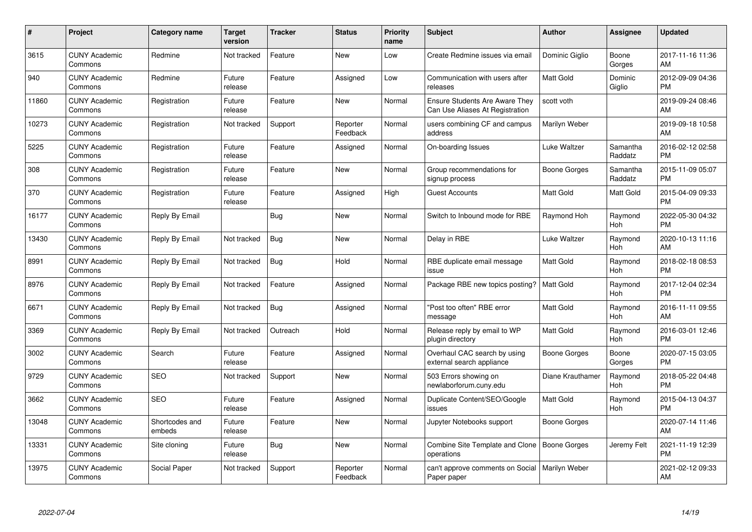| $\#$  | Project                         | <b>Category name</b>     | <b>Target</b><br>version | <b>Tracker</b> | <b>Status</b>        | Priority<br>name | <b>Subject</b>                                                    | <b>Author</b>       | <b>Assignee</b>     | <b>Updated</b>                |
|-------|---------------------------------|--------------------------|--------------------------|----------------|----------------------|------------------|-------------------------------------------------------------------|---------------------|---------------------|-------------------------------|
| 3615  | <b>CUNY Academic</b><br>Commons | Redmine                  | Not tracked              | Feature        | <b>New</b>           | Low              | Create Redmine issues via email                                   | Dominic Giglio      | Boone<br>Gorges     | 2017-11-16 11:36<br>AM        |
| 940   | <b>CUNY Academic</b><br>Commons | Redmine                  | Future<br>release        | Feature        | Assigned             | Low              | Communication with users after<br>releases                        | <b>Matt Gold</b>    | Dominic<br>Giglio   | 2012-09-09 04:36<br><b>PM</b> |
| 11860 | <b>CUNY Academic</b><br>Commons | Registration             | Future<br>release        | Feature        | <b>New</b>           | Normal           | Ensure Students Are Aware They<br>Can Use Aliases At Registration | scott voth          |                     | 2019-09-24 08:46<br>AM        |
| 10273 | <b>CUNY Academic</b><br>Commons | Registration             | Not tracked              | Support        | Reporter<br>Feedback | Normal           | users combining CF and campus<br>address                          | Marilyn Weber       |                     | 2019-09-18 10:58<br>AM        |
| 5225  | <b>CUNY Academic</b><br>Commons | Registration             | Future<br>release        | Feature        | Assigned             | Normal           | On-boarding Issues                                                | Luke Waltzer        | Samantha<br>Raddatz | 2016-02-12 02:58<br><b>PM</b> |
| 308   | <b>CUNY Academic</b><br>Commons | Registration             | Future<br>release        | Feature        | <b>New</b>           | Normal           | Group recommendations for<br>signup process                       | <b>Boone Gorges</b> | Samantha<br>Raddatz | 2015-11-09 05:07<br><b>PM</b> |
| 370   | <b>CUNY Academic</b><br>Commons | Registration             | Future<br>release        | Feature        | Assigned             | High             | <b>Guest Accounts</b>                                             | <b>Matt Gold</b>    | Matt Gold           | 2015-04-09 09:33<br><b>PM</b> |
| 16177 | <b>CUNY Academic</b><br>Commons | Reply By Email           |                          | Bug            | New                  | Normal           | Switch to Inbound mode for RBE                                    | Raymond Hoh         | Raymond<br>Hoh      | 2022-05-30 04:32<br><b>PM</b> |
| 13430 | <b>CUNY Academic</b><br>Commons | Reply By Email           | Not tracked              | <b>Bug</b>     | <b>New</b>           | Normal           | Delay in RBE                                                      | Luke Waltzer        | Raymond<br>Hoh      | 2020-10-13 11:16<br>AM        |
| 8991  | <b>CUNY Academic</b><br>Commons | Reply By Email           | Not tracked              | Bug            | Hold                 | Normal           | RBE duplicate email message<br>issue                              | <b>Matt Gold</b>    | Raymond<br>Hoh      | 2018-02-18 08:53<br><b>PM</b> |
| 8976  | <b>CUNY Academic</b><br>Commons | Reply By Email           | Not tracked              | Feature        | Assigned             | Normal           | Package RBE new topics posting?                                   | <b>Matt Gold</b>    | Raymond<br>Hoh      | 2017-12-04 02:34<br><b>PM</b> |
| 6671  | <b>CUNY Academic</b><br>Commons | Reply By Email           | Not tracked              | Bug            | Assigned             | Normal           | "Post too often" RBE error<br>message                             | Matt Gold           | Raymond<br>Hoh      | 2016-11-11 09:55<br>AM        |
| 3369  | <b>CUNY Academic</b><br>Commons | Reply By Email           | Not tracked              | Outreach       | Hold                 | Normal           | Release reply by email to WP<br>plugin directory                  | Matt Gold           | Raymond<br>Hoh      | 2016-03-01 12:46<br><b>PM</b> |
| 3002  | <b>CUNY Academic</b><br>Commons | Search                   | Future<br>release        | Feature        | Assigned             | Normal           | Overhaul CAC search by using<br>external search appliance         | <b>Boone Gorges</b> | Boone<br>Gorges     | 2020-07-15 03:05<br><b>PM</b> |
| 9729  | <b>CUNY Academic</b><br>Commons | <b>SEO</b>               | Not tracked              | Support        | New                  | Normal           | 503 Errors showing on<br>newlaborforum.cuny.edu                   | Diane Krauthamer    | Raymond<br>Hoh      | 2018-05-22 04:48<br><b>PM</b> |
| 3662  | <b>CUNY Academic</b><br>Commons | <b>SEO</b>               | Future<br>release        | Feature        | Assigned             | Normal           | Duplicate Content/SEO/Google<br>issues                            | Matt Gold           | Raymond<br>Hoh      | 2015-04-13 04:37<br><b>PM</b> |
| 13048 | <b>CUNY Academic</b><br>Commons | Shortcodes and<br>embeds | Future<br>release        | Feature        | New                  | Normal           | Jupyter Notebooks support                                         | Boone Gorges        |                     | 2020-07-14 11:46<br>AM        |
| 13331 | <b>CUNY Academic</b><br>Commons | Site cloning             | Future<br>release        | Bug            | New                  | Normal           | Combine Site Template and Clone<br>operations                     | Boone Gorges        | Jeremy Felt         | 2021-11-19 12:39<br><b>PM</b> |
| 13975 | <b>CUNY Academic</b><br>Commons | Social Paper             | Not tracked              | Support        | Reporter<br>Feedback | Normal           | can't approve comments on Social<br>Paper paper                   | Marilyn Weber       |                     | 2021-02-12 09:33<br>AM        |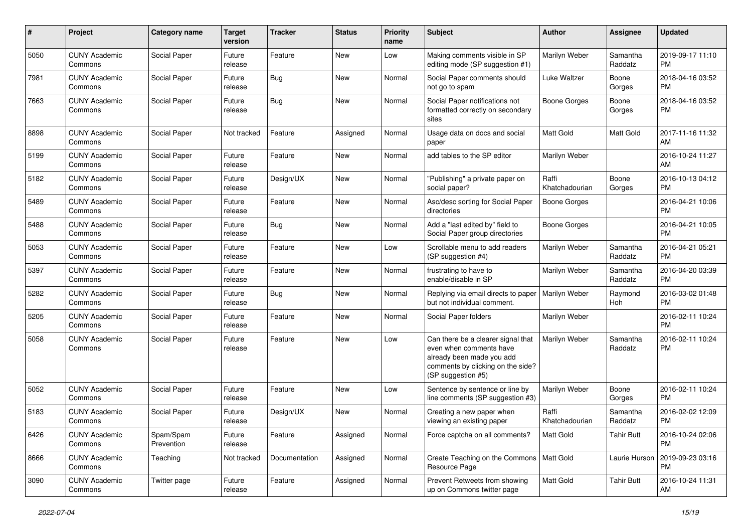| #    | Project                         | <b>Category name</b>    | <b>Target</b><br>version | <b>Tracker</b> | <b>Status</b> | <b>Priority</b><br>name | Subject                                                                                                                                               | Author                  | <b>Assignee</b>     | <b>Updated</b>                |
|------|---------------------------------|-------------------------|--------------------------|----------------|---------------|-------------------------|-------------------------------------------------------------------------------------------------------------------------------------------------------|-------------------------|---------------------|-------------------------------|
| 5050 | <b>CUNY Academic</b><br>Commons | Social Paper            | Future<br>release        | Feature        | <b>New</b>    | Low                     | Making comments visible in SP<br>editing mode (SP suggestion #1)                                                                                      | Marilyn Weber           | Samantha<br>Raddatz | 2019-09-17 11:10<br><b>PM</b> |
| 7981 | <b>CUNY Academic</b><br>Commons | Social Paper            | Future<br>release        | Bug            | New           | Normal                  | Social Paper comments should<br>not go to spam                                                                                                        | Luke Waltzer            | Boone<br>Gorges     | 2018-04-16 03:52<br><b>PM</b> |
| 7663 | <b>CUNY Academic</b><br>Commons | Social Paper            | Future<br>release        | Bug            | <b>New</b>    | Normal                  | Social Paper notifications not<br>formatted correctly on secondary<br>sites                                                                           | <b>Boone Gorges</b>     | Boone<br>Gorges     | 2018-04-16 03:52<br><b>PM</b> |
| 8898 | <b>CUNY Academic</b><br>Commons | Social Paper            | Not tracked              | Feature        | Assigned      | Normal                  | Usage data on docs and social<br>paper                                                                                                                | Matt Gold               | Matt Gold           | 2017-11-16 11:32<br>AM        |
| 5199 | <b>CUNY Academic</b><br>Commons | Social Paper            | Future<br>release        | Feature        | <b>New</b>    | Normal                  | add tables to the SP editor                                                                                                                           | Marilyn Weber           |                     | 2016-10-24 11:27<br>AM        |
| 5182 | <b>CUNY Academic</b><br>Commons | Social Paper            | Future<br>release        | Design/UX      | <b>New</b>    | Normal                  | "Publishing" a private paper on<br>social paper?                                                                                                      | Raffi<br>Khatchadourian | Boone<br>Gorges     | 2016-10-13 04:12<br><b>PM</b> |
| 5489 | <b>CUNY Academic</b><br>Commons | Social Paper            | Future<br>release        | Feature        | New           | Normal                  | Asc/desc sorting for Social Paper<br>directories                                                                                                      | <b>Boone Gorges</b>     |                     | 2016-04-21 10:06<br><b>PM</b> |
| 5488 | <b>CUNY Academic</b><br>Commons | Social Paper            | Future<br>release        | Bug            | <b>New</b>    | Normal                  | Add a "last edited by" field to<br>Social Paper group directories                                                                                     | <b>Boone Gorges</b>     |                     | 2016-04-21 10:05<br><b>PM</b> |
| 5053 | <b>CUNY Academic</b><br>Commons | Social Paper            | Future<br>release        | Feature        | <b>New</b>    | Low                     | Scrollable menu to add readers<br>(SP suggestion #4)                                                                                                  | Marilyn Weber           | Samantha<br>Raddatz | 2016-04-21 05:21<br><b>PM</b> |
| 5397 | <b>CUNY Academic</b><br>Commons | Social Paper            | Future<br>release        | Feature        | New           | Normal                  | frustrating to have to<br>enable/disable in SP                                                                                                        | Marilyn Weber           | Samantha<br>Raddatz | 2016-04-20 03:39<br><b>PM</b> |
| 5282 | <b>CUNY Academic</b><br>Commons | Social Paper            | Future<br>release        | Bug            | New           | Normal                  | Replying via email directs to paper<br>but not individual comment.                                                                                    | Marilyn Weber           | Raymond<br>Hoh      | 2016-03-02 01:48<br><b>PM</b> |
| 5205 | <b>CUNY Academic</b><br>Commons | Social Paper            | Future<br>release        | Feature        | <b>New</b>    | Normal                  | Social Paper folders                                                                                                                                  | Marilyn Weber           |                     | 2016-02-11 10:24<br><b>PM</b> |
| 5058 | <b>CUNY Academic</b><br>Commons | Social Paper            | Future<br>release        | Feature        | <b>New</b>    | Low                     | Can there be a clearer signal that<br>even when comments have<br>already been made you add<br>comments by clicking on the side?<br>(SP suggestion #5) | Marilyn Weber           | Samantha<br>Raddatz | 2016-02-11 10:24<br><b>PM</b> |
| 5052 | <b>CUNY Academic</b><br>Commons | Social Paper            | Future<br>release        | Feature        | New           | Low                     | Sentence by sentence or line by<br>line comments (SP suggestion #3)                                                                                   | Marilyn Weber           | Boone<br>Gorges     | 2016-02-11 10:24<br><b>PM</b> |
| 5183 | <b>CUNY Academic</b><br>Commons | Social Paper            | Future<br>release        | Design/UX      | <b>New</b>    | Normal                  | Creating a new paper when<br>viewing an existing paper                                                                                                | Raffi<br>Khatchadourian | Samantha<br>Raddatz | 2016-02-02 12:09<br><b>PM</b> |
| 6426 | <b>CUNY Academic</b><br>Commons | Spam/Spam<br>Prevention | Future<br>release        | Feature        | Assigned      | Normal                  | Force captcha on all comments?                                                                                                                        | <b>Matt Gold</b>        | <b>Tahir Butt</b>   | 2016-10-24 02:06<br><b>PM</b> |
| 8666 | <b>CUNY Academic</b><br>Commons | Teaching                | Not tracked              | Documentation  | Assigned      | Normal                  | Create Teaching on the Commons   Matt Gold<br>Resource Page                                                                                           |                         | Laurie Hurson       | 2019-09-23 03:16<br><b>PM</b> |
| 3090 | <b>CUNY Academic</b><br>Commons | Twitter page            | Future<br>release        | Feature        | Assigned      | Normal                  | Prevent Retweets from showing<br>up on Commons twitter page                                                                                           | Matt Gold               | <b>Tahir Butt</b>   | 2016-10-24 11:31<br>AM        |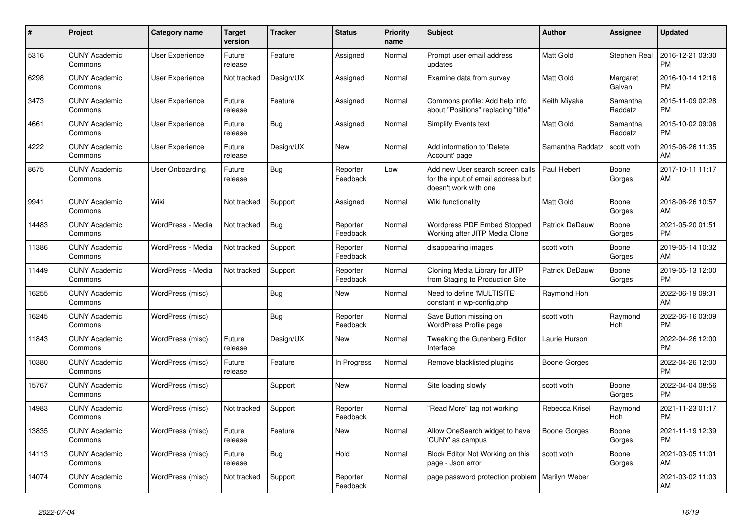| #     | Project                         | <b>Category name</b>   | <b>Target</b><br>version | <b>Tracker</b> | <b>Status</b>        | Priority<br>name | <b>Subject</b>                                                                                  | <b>Author</b>       | <b>Assignee</b>     | <b>Updated</b>                |
|-------|---------------------------------|------------------------|--------------------------|----------------|----------------------|------------------|-------------------------------------------------------------------------------------------------|---------------------|---------------------|-------------------------------|
| 5316  | <b>CUNY Academic</b><br>Commons | <b>User Experience</b> | Future<br>release        | Feature        | Assigned             | Normal           | Prompt user email address<br>updates                                                            | <b>Matt Gold</b>    | Stephen Real        | 2016-12-21 03:30<br><b>PM</b> |
| 6298  | <b>CUNY Academic</b><br>Commons | User Experience        | Not tracked              | Design/UX      | Assigned             | Normal           | Examine data from survey                                                                        | <b>Matt Gold</b>    | Margaret<br>Galvan  | 2016-10-14 12:16<br><b>PM</b> |
| 3473  | <b>CUNY Academic</b><br>Commons | User Experience        | Future<br>release        | Feature        | Assigned             | Normal           | Commons profile: Add help info<br>about "Positions" replacing "title"                           | Keith Miyake        | Samantha<br>Raddatz | 2015-11-09 02:28<br><b>PM</b> |
| 4661  | <b>CUNY Academic</b><br>Commons | <b>User Experience</b> | Future<br>release        | Bug            | Assigned             | Normal           | Simplify Events text                                                                            | Matt Gold           | Samantha<br>Raddatz | 2015-10-02 09:06<br><b>PM</b> |
| 4222  | <b>CUNY Academic</b><br>Commons | <b>User Experience</b> | Future<br>release        | Design/UX      | New                  | Normal           | Add information to 'Delete<br>Account' page                                                     | Samantha Raddatz    | scott voth          | 2015-06-26 11:35<br>AM        |
| 8675  | <b>CUNY Academic</b><br>Commons | User Onboarding        | Future<br>release        | Bug            | Reporter<br>Feedback | Low              | Add new User search screen calls<br>for the input of email address but<br>doesn't work with one | Paul Hebert         | Boone<br>Gorges     | 2017-10-11 11:17<br>AM        |
| 9941  | <b>CUNY Academic</b><br>Commons | Wiki                   | Not tracked              | Support        | Assigned             | Normal           | Wiki functionality                                                                              | Matt Gold           | Boone<br>Gorges     | 2018-06-26 10:57<br>AM        |
| 14483 | <b>CUNY Academic</b><br>Commons | WordPress - Media      | Not tracked              | Bug            | Reporter<br>Feedback | Normal           | <b>Wordpress PDF Embed Stopped</b><br>Working after JITP Media Clone                            | Patrick DeDauw      | Boone<br>Gorges     | 2021-05-20 01:51<br><b>PM</b> |
| 11386 | <b>CUNY Academic</b><br>Commons | WordPress - Media      | Not tracked              | Support        | Reporter<br>Feedback | Normal           | disappearing images                                                                             | scott voth          | Boone<br>Gorges     | 2019-05-14 10:32<br>AM        |
| 11449 | <b>CUNY Academic</b><br>Commons | WordPress - Media      | Not tracked              | Support        | Reporter<br>Feedback | Normal           | Cloning Media Library for JITP<br>from Staging to Production Site                               | Patrick DeDauw      | Boone<br>Gorges     | 2019-05-13 12:00<br><b>PM</b> |
| 16255 | <b>CUNY Academic</b><br>Commons | WordPress (misc)       |                          | Bug            | New                  | Normal           | Need to define 'MULTISITE'<br>constant in wp-config.php                                         | Raymond Hoh         |                     | 2022-06-19 09:31<br>AM        |
| 16245 | <b>CUNY Academic</b><br>Commons | WordPress (misc)       |                          | <b>Bug</b>     | Reporter<br>Feedback | Normal           | Save Button missing on<br><b>WordPress Profile page</b>                                         | scott voth          | Raymond<br>Hoh      | 2022-06-16 03:09<br><b>PM</b> |
| 11843 | <b>CUNY Academic</b><br>Commons | WordPress (misc)       | Future<br>release        | Design/UX      | <b>New</b>           | Normal           | Tweaking the Gutenberg Editor<br>Interface                                                      | Laurie Hurson       |                     | 2022-04-26 12:00<br><b>PM</b> |
| 10380 | <b>CUNY Academic</b><br>Commons | WordPress (misc)       | Future<br>release        | Feature        | In Progress          | Normal           | Remove blacklisted plugins                                                                      | <b>Boone Gorges</b> |                     | 2022-04-26 12:00<br><b>PM</b> |
| 15767 | <b>CUNY Academic</b><br>Commons | WordPress (misc)       |                          | Support        | New                  | Normal           | Site loading slowly                                                                             | scott voth          | Boone<br>Gorges     | 2022-04-04 08:56<br><b>PM</b> |
| 14983 | <b>CUNY Academic</b><br>Commons | WordPress (misc)       | Not tracked              | Support        | Reporter<br>Feedback | Normal           | "Read More" tag not working                                                                     | Rebecca Krisel      | Raymond<br>Hoh      | 2021-11-23 01:17<br><b>PM</b> |
| 13835 | <b>CUNY Academic</b><br>Commons | WordPress (misc)       | Future<br>release        | Feature        | New                  | Normal           | Allow OneSearch widget to have<br>'CUNY' as campus                                              | Boone Gorges        | Boone<br>Gorges     | 2021-11-19 12:39<br><b>PM</b> |
| 14113 | <b>CUNY Academic</b><br>Commons | WordPress (misc)       | Future<br>release        | Bug            | Hold                 | Normal           | Block Editor Not Working on this<br>page - Json error                                           | scott voth          | Boone<br>Gorges     | 2021-03-05 11:01<br>AM        |
| 14074 | <b>CUNY Academic</b><br>Commons | WordPress (misc)       | Not tracked              | Support        | Reporter<br>Feedback | Normal           | page password protection problem                                                                | Marilyn Weber       |                     | 2021-03-02 11:03<br>AM        |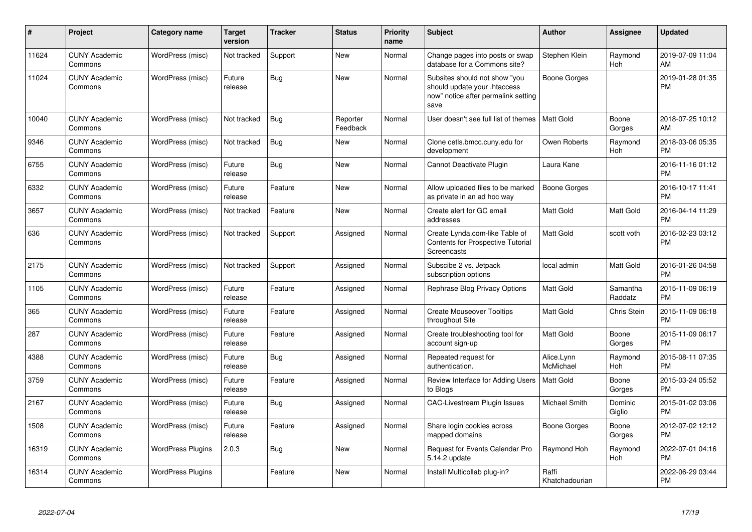| #     | Project                         | <b>Category name</b>     | <b>Target</b><br>version | <b>Tracker</b> | <b>Status</b>        | <b>Priority</b><br>name | <b>Subject</b>                                                                                               | <b>Author</b>           | <b>Assignee</b>     | <b>Updated</b>                |
|-------|---------------------------------|--------------------------|--------------------------|----------------|----------------------|-------------------------|--------------------------------------------------------------------------------------------------------------|-------------------------|---------------------|-------------------------------|
| 11624 | <b>CUNY Academic</b><br>Commons | WordPress (misc)         | Not tracked              | Support        | <b>New</b>           | Normal                  | Change pages into posts or swap<br>database for a Commons site?                                              | Stephen Klein           | Raymond<br>Hoh      | 2019-07-09 11:04<br>AM        |
| 11024 | <b>CUNY Academic</b><br>Commons | WordPress (misc)         | Future<br>release        | Bug            | <b>New</b>           | Normal                  | Subsites should not show "you<br>should update your .htaccess<br>now" notice after permalink setting<br>save | Boone Gorges            |                     | 2019-01-28 01:35<br><b>PM</b> |
| 10040 | <b>CUNY Academic</b><br>Commons | WordPress (misc)         | Not tracked              | Bug            | Reporter<br>Feedback | Normal                  | User doesn't see full list of themes                                                                         | <b>Matt Gold</b>        | Boone<br>Gorges     | 2018-07-25 10:12<br>AM        |
| 9346  | <b>CUNY Academic</b><br>Commons | WordPress (misc)         | Not tracked              | Bug            | New                  | Normal                  | Clone cetls.bmcc.cuny.edu for<br>development                                                                 | Owen Roberts            | Raymond<br>Hoh      | 2018-03-06 05:35<br><b>PM</b> |
| 6755  | <b>CUNY Academic</b><br>Commons | WordPress (misc)         | Future<br>release        | Bug            | <b>New</b>           | Normal                  | Cannot Deactivate Plugin                                                                                     | Laura Kane              |                     | 2016-11-16 01:12<br><b>PM</b> |
| 6332  | <b>CUNY Academic</b><br>Commons | WordPress (misc)         | Future<br>release        | Feature        | <b>New</b>           | Normal                  | Allow uploaded files to be marked<br>as private in an ad hoc way                                             | <b>Boone Gorges</b>     |                     | 2016-10-17 11:41<br><b>PM</b> |
| 3657  | <b>CUNY Academic</b><br>Commons | WordPress (misc)         | Not tracked              | Feature        | <b>New</b>           | Normal                  | Create alert for GC email<br>addresses                                                                       | <b>Matt Gold</b>        | Matt Gold           | 2016-04-14 11:29<br><b>PM</b> |
| 636   | <b>CUNY Academic</b><br>Commons | WordPress (misc)         | Not tracked              | Support        | Assigned             | Normal                  | Create Lynda.com-like Table of<br><b>Contents for Prospective Tutorial</b><br>Screencasts                    | <b>Matt Gold</b>        | scott voth          | 2016-02-23 03:12<br><b>PM</b> |
| 2175  | <b>CUNY Academic</b><br>Commons | WordPress (misc)         | Not tracked              | Support        | Assigned             | Normal                  | Subscibe 2 vs. Jetpack<br>subscription options                                                               | local admin             | Matt Gold           | 2016-01-26 04:58<br><b>PM</b> |
| 1105  | <b>CUNY Academic</b><br>Commons | WordPress (misc)         | Future<br>release        | Feature        | Assigned             | Normal                  | Rephrase Blog Privacy Options                                                                                | <b>Matt Gold</b>        | Samantha<br>Raddatz | 2015-11-09 06:19<br><b>PM</b> |
| 365   | <b>CUNY Academic</b><br>Commons | WordPress (misc)         | Future<br>release        | Feature        | Assigned             | Normal                  | <b>Create Mouseover Tooltips</b><br>throughout Site                                                          | <b>Matt Gold</b>        | <b>Chris Stein</b>  | 2015-11-09 06:18<br><b>PM</b> |
| 287   | <b>CUNY Academic</b><br>Commons | WordPress (misc)         | Future<br>release        | Feature        | Assigned             | Normal                  | Create troubleshooting tool for<br>account sign-up                                                           | <b>Matt Gold</b>        | Boone<br>Gorges     | 2015-11-09 06:17<br><b>PM</b> |
| 4388  | <b>CUNY Academic</b><br>Commons | WordPress (misc)         | Future<br>release        | Bug            | Assigned             | Normal                  | Repeated request for<br>authentication.                                                                      | Alice.Lynn<br>McMichael | Raymond<br>Hoh      | 2015-08-11 07:35<br><b>PM</b> |
| 3759  | <b>CUNY Academic</b><br>Commons | WordPress (misc)         | Future<br>release        | Feature        | Assigned             | Normal                  | Review Interface for Adding Users<br>to Blogs                                                                | Matt Gold               | Boone<br>Gorges     | 2015-03-24 05:52<br><b>PM</b> |
| 2167  | <b>CUNY Academic</b><br>Commons | WordPress (misc)         | Future<br>release        | Bug            | Assigned             | Normal                  | <b>CAC-Livestream Plugin Issues</b>                                                                          | Michael Smith           | Dominic<br>Giglio   | 2015-01-02 03:06<br><b>PM</b> |
| 1508  | <b>CUNY Academic</b><br>Commons | WordPress (misc)         | Future<br>release        | Feature        | Assigned             | Normal                  | Share login cookies across<br>mapped domains                                                                 | Boone Gorges            | Boone<br>Gorges     | 2012-07-02 12:12<br><b>PM</b> |
| 16319 | <b>CUNY Academic</b><br>Commons | <b>WordPress Plugins</b> | 2.0.3                    | <b>Bug</b>     | <b>New</b>           | Normal                  | Request for Events Calendar Pro<br>5.14.2 update                                                             | Raymond Hoh             | Raymond<br>Hoh      | 2022-07-01 04:16<br><b>PM</b> |
| 16314 | <b>CUNY Academic</b><br>Commons | <b>WordPress Plugins</b> |                          | Feature        | <b>New</b>           | Normal                  | Install Multicollab plug-in?                                                                                 | Raffi<br>Khatchadourian |                     | 2022-06-29 03:44<br>PM        |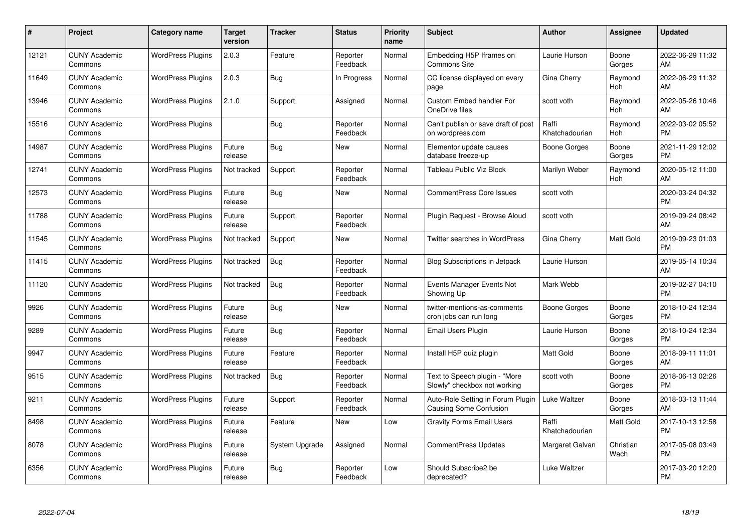| #     | Project                         | <b>Category name</b>     | <b>Target</b><br>version | <b>Tracker</b> | <b>Status</b>        | Priority<br>name | <b>Subject</b>                                                | <b>Author</b>           | <b>Assignee</b>   | <b>Updated</b>                |
|-------|---------------------------------|--------------------------|--------------------------|----------------|----------------------|------------------|---------------------------------------------------------------|-------------------------|-------------------|-------------------------------|
| 12121 | <b>CUNY Academic</b><br>Commons | <b>WordPress Plugins</b> | 2.0.3                    | Feature        | Reporter<br>Feedback | Normal           | Embedding H5P Iframes on<br><b>Commons Site</b>               | Laurie Hurson           | Boone<br>Gorges   | 2022-06-29 11:32<br>AM        |
| 11649 | <b>CUNY Academic</b><br>Commons | <b>WordPress Plugins</b> | 2.0.3                    | <b>Bug</b>     | In Progress          | Normal           | CC license displayed on every<br>page                         | Gina Cherry             | Raymond<br>Hoh    | 2022-06-29 11:32<br>AM        |
| 13946 | <b>CUNY Academic</b><br>Commons | <b>WordPress Plugins</b> | 2.1.0                    | Support        | Assigned             | Normal           | <b>Custom Embed handler For</b><br>OneDrive files             | scott voth              | Raymond<br>Hoh    | 2022-05-26 10:46<br>AM        |
| 15516 | <b>CUNY Academic</b><br>Commons | <b>WordPress Plugins</b> |                          | Bug            | Reporter<br>Feedback | Normal           | Can't publish or save draft of post<br>on wordpress.com       | Raffi<br>Khatchadourian | Raymond<br>Hoh    | 2022-03-02 05:52<br><b>PM</b> |
| 14987 | <b>CUNY Academic</b><br>Commons | <b>WordPress Plugins</b> | Future<br>release        | <b>Bug</b>     | New                  | Normal           | Elementor update causes<br>database freeze-up                 | Boone Gorges            | Boone<br>Gorges   | 2021-11-29 12:02<br><b>PM</b> |
| 12741 | <b>CUNY Academic</b><br>Commons | <b>WordPress Plugins</b> | Not tracked              | Support        | Reporter<br>Feedback | Normal           | Tableau Public Viz Block                                      | Marilyn Weber           | Raymond<br>Hoh    | 2020-05-12 11:00<br>AM        |
| 12573 | <b>CUNY Academic</b><br>Commons | <b>WordPress Plugins</b> | Future<br>release        | Bug            | New                  | Normal           | <b>CommentPress Core Issues</b>                               | scott voth              |                   | 2020-03-24 04:32<br><b>PM</b> |
| 11788 | <b>CUNY Academic</b><br>Commons | <b>WordPress Plugins</b> | Future<br>release        | Support        | Reporter<br>Feedback | Normal           | Plugin Request - Browse Aloud                                 | scott voth              |                   | 2019-09-24 08:42<br>AM        |
| 11545 | <b>CUNY Academic</b><br>Commons | <b>WordPress Plugins</b> | Not tracked              | Support        | New                  | Normal           | Twitter searches in WordPress                                 | Gina Cherry             | Matt Gold         | 2019-09-23 01:03<br><b>PM</b> |
| 11415 | <b>CUNY Academic</b><br>Commons | <b>WordPress Plugins</b> | Not tracked              | Bug            | Reporter<br>Feedback | Normal           | <b>Blog Subscriptions in Jetpack</b>                          | Laurie Hurson           |                   | 2019-05-14 10:34<br>AM        |
| 11120 | <b>CUNY Academic</b><br>Commons | <b>WordPress Plugins</b> | Not tracked              | Bug            | Reporter<br>Feedback | Normal           | Events Manager Events Not<br>Showing Up                       | Mark Webb               |                   | 2019-02-27 04:10<br><b>PM</b> |
| 9926  | <b>CUNY Academic</b><br>Commons | <b>WordPress Plugins</b> | Future<br>release        | Bug            | New                  | Normal           | twitter-mentions-as-comments<br>cron jobs can run long        | <b>Boone Gorges</b>     | Boone<br>Gorges   | 2018-10-24 12:34<br><b>PM</b> |
| 9289  | <b>CUNY Academic</b><br>Commons | <b>WordPress Plugins</b> | Future<br>release        | Bug            | Reporter<br>Feedback | Normal           | Email Users Plugin                                            | Laurie Hurson           | Boone<br>Gorges   | 2018-10-24 12:34<br><b>PM</b> |
| 9947  | <b>CUNY Academic</b><br>Commons | <b>WordPress Plugins</b> | Future<br>release        | Feature        | Reporter<br>Feedback | Normal           | Install H5P quiz plugin                                       | <b>Matt Gold</b>        | Boone<br>Gorges   | 2018-09-11 11:01<br>AM        |
| 9515  | <b>CUNY Academic</b><br>Commons | <b>WordPress Plugins</b> | Not tracked              | Bug            | Reporter<br>Feedback | Normal           | Text to Speech plugin - "More<br>Slowly" checkbox not working | scott voth              | Boone<br>Gorges   | 2018-06-13 02:26<br><b>PM</b> |
| 9211  | <b>CUNY Academic</b><br>Commons | <b>WordPress Plugins</b> | Future<br>release        | Support        | Reporter<br>Feedback | Normal           | Auto-Role Setting in Forum Plugin<br>Causing Some Confusion   | Luke Waltzer            | Boone<br>Gorges   | 2018-03-13 11:44<br>AM        |
| 8498  | <b>CUNY Academic</b><br>Commons | <b>WordPress Plugins</b> | Future<br>release        | Feature        | New                  | Low              | <b>Gravity Forms Email Users</b>                              | Raffi<br>Khatchadourian | Matt Gold         | 2017-10-13 12:58<br><b>PM</b> |
| 8078  | <b>CUNY Academic</b><br>Commons | <b>WordPress Plugins</b> | Future<br>release        | System Upgrade | Assigned             | Normal           | CommentPress Updates                                          | Margaret Galvan         | Christian<br>Wach | 2017-05-08 03:49<br><b>PM</b> |
| 6356  | CUNY Academic<br>Commons        | <b>WordPress Plugins</b> | Future<br>release        | Bug            | Reporter<br>Feedback | Low              | Should Subscribe2 be<br>deprecated?                           | Luke Waltzer            |                   | 2017-03-20 12:20<br><b>PM</b> |